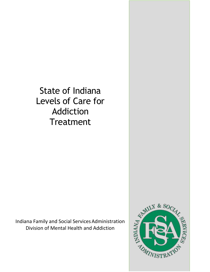State of Indiana Levels of Care for Addiction **Treatment** 

Indiana Family and Social ServicesAdministration Division of Mental Health and Addiction

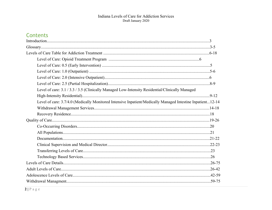## Contents

| Level of care: 3.1 / 3.3 / 3.5 (Clinically Managed Low-Intensity Residential/Clinically Managed            |  |
|------------------------------------------------------------------------------------------------------------|--|
|                                                                                                            |  |
| Level of care: 3.7/4.0 (Medically Monitored Intensive Inpatient/Medically Managed Intestine Inpatient12-14 |  |
|                                                                                                            |  |
|                                                                                                            |  |
|                                                                                                            |  |
|                                                                                                            |  |
|                                                                                                            |  |
|                                                                                                            |  |
|                                                                                                            |  |
|                                                                                                            |  |
|                                                                                                            |  |
|                                                                                                            |  |
|                                                                                                            |  |
|                                                                                                            |  |
|                                                                                                            |  |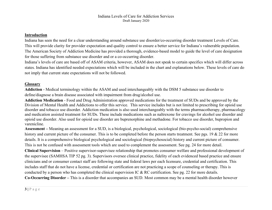#### **Introduction**

Indiana has seen the need for a clear understanding around substance use disorder/co-occurring disorder treatment Levels of Care. This will provide clarity for provider expectation and quality control to ensure a better service for Indiana's vulnerable population. The American Society of Addiction Medicine has provided a thorough, evidence-based model to guide the level of care designation for those suffering from substance use disorder and or a co-occurring disorder.

Indiana's levels of care are based off of ASAM criteria, however, ASAM does not speak to certain specifics which will differ across states. Indiana has identified needed expectations which will be included in the chart and explanations below. These levels of care do not imply that current state expectations will not be followed.

#### **Glossary**

**Addiction** - Medical terminology within the ASAM and used interchangeably with the DSM 5 substance use disorder to define/diagnose a brain disease associated with impairment from drug/alcohol use.

**Addiction Medication** - Food and Drug Administration approved medications for the treatment of SUDs and be approved by the Division of Mental Health and Addictions to offer this service. This service includes but is not limited to prescribing for opioid use disorder and tobacco use disorder. Addiction medication is also used interchangeably with the terms pharmacotherapy, pharmacology and medication assisted treatment for SUDs. These include medications such as naltrexone for cravings for alcohol use disorder and opioid use disorder. Also used for opioid use disorder are buprenorphine and methadone. For tobacco use disorder, bupropion and varenicline.

**Assessment –** Meaning an assessment for a SUD, is a biological, psychological, sociological (bio-psycho-social) comprehensive history and current picture of the consumer. This is to be completed before the person starts treatment. See pgs. 19 & 22 for more details. It is a comprehensive biological psychological and sociological (biopsychosocial) history and current picture of consumer. This is not be confused with assessment tools which are used to complement the assessment. See pg. 24 for more detail.

**Clinical Supervision** – Positive supervisor-supervisee relationship that promotes consumer welfare and professional development of the supervisee (SAMHSA TIP 52 pg. 3). Supervisors oversee clinical practice, fidelity of each evidenced based practice and ensure clinicians and or consumer contact staff are following state and federal laws per each licensure, credential and certification. This includes staff that do not have a license, credential or certification are not practicing a scope of counseling or therapy. This is conducted by a person who has completed the clinical supervision IC & RC certification. See pg. 22 for more details.

**Co-Occurring Disorder –** This is a disorder that accompanies an SUD. Most common may be a mental health disorder however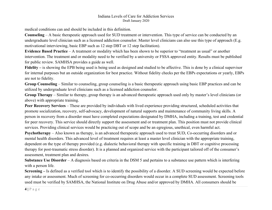medical conditions can and should be included in this definition.

**Counseling** – A basic therapeutic approach used for SUD treatment or intervention. This type of service can be conducted by an undergraduate level clinician such as a licensed addiction counselor. Master level clinicians can also use this type of approach (E.g. motivational interviewing, basic EBP such as 12 step DBT or 12 step facilitation).

**Evidence Based Practice** – A treatment or modality which has been shown to be superior to "treatment as usual" or another intervention. The treatment and or modality need to be verified by a university or FSSA approved entity. Results must be published for public review. SAMHSA provides a guide as well.

**Fidelity –** is showing the EPB being used is being used as designed and studied to be affective. This is done by a clinical supervisor for internal purposes but an outside organization for best practice. Without fidelity checks per the EBPs expectations or yearly, EBPs are not to fidelity.

**Group Counseling** – Similar to counseling, group counseling is a basic therapeutic approach using basic EBP practices and can be utilized by undergraduate level clinicians such as a licensed addiction counselor.

**Group Therapy** – Similar to therapy, group therapy is an advanced therapeutic approach used only by master's level clinicians (or above) with appropriate training.

**Peer Recovery Services** – These are provided by individuals with lived experience providing structured, scheduled activities that promote socialization, recovery, self-advocacy, development of natural supports and maintenance of community living skills. A person in recovery from a disorder must have completed expectations designated by DMHA, including a training, test and credential for peer recovery. This service should directly support the assessment and or treatment plan. This position must not provide clinical services. Providing clinical services would be practicing out of scope and be an egregious, unethical, even harmful act.

**Psychotherapy** – Also known as therapy, is an advanced therapeutic approach used to treat SUD, Co-occurring disorders and or mental health disorders. This advanced level of treatment requires at least a master level clinician with the appropriate training, dependent on the type of therapy provided (e.g. dialectic behavioral therapy with specific training in DBT or cognitive processing therapy for post-traumatic stress disorder). It is a planned and organized service with the participant tailored off of the consumer's assessment, treatment plan and desires.

**Substance Use Disorder** – A diagnosis based on criteria in the DSM 5 and pertains to a substance use pattern which is interfering with a person life.

**Screening –** Is defined as a verified tool which is to identify the possibility of a disorder. A SUD screening would be expected before any intake or assessment. Much of screening for co-occurring disorders would occur in a complete SUD assessment. Screening tools used must be verified by SAMHSA, the National Institute on Drug Abuse and/or approved by DMHA. All consumers should be

**4 |** Page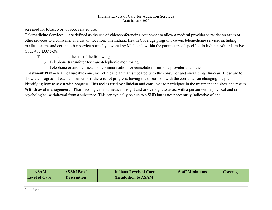screened for tobacco or tobacco related use.

**Telemedicine Services –** Are defined as the use of videoconferencing equipment to allow a medical provider to render an exam or other services to a consumer at a distant location. The Indiana Health Coverage programs covers telemedicine service, including medical exams and certain other service normally covered by Medicaid, within the parameters of specified in Indiana Administrative Code 405 IAC 5-38.

- Telemedicine is not the use of the following
	- o Telephone transmitter for trans-telephonic monitoring
	- o Telephone or another means of communication for consolation from one provider to another

**Treatment Plan –** Is a measureable consumer clinical plan that is updated with the consumer and overseeing clinician. These are to show the progress of each consumer or if there is not progress, having the discussion with the consumer on changing the plan or identifying how to assist with progress. This tool is used by clinician and consumer to participate in the treatment and show the results. **Withdrawal management** – Pharmacological and medical insight and or oversight to assist with a person with a physical and or psychological withdrawal from a substance. This can typically be due to a SUD but is not necessarily indicative of one.

| <b>ASAM</b>          | <b>ASAM Brief</b>  | <b>Indiana Levels of Care</b> | <b>Staff Minimums</b> | Coverage |
|----------------------|--------------------|-------------------------------|-----------------------|----------|
| <b>Level of Care</b> | <b>Description</b> | (In addition to ASAM)         |                       |          |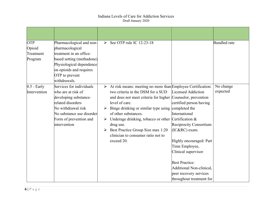| <b>OTP</b><br>Opioid<br>Treatment<br>Program | Pharmacological and non-<br>pharmacological<br>treatment in an office-<br>based setting (methadone)<br>Physiological dependence<br>on opioids and requires<br>OTP to prevent<br>withdrawals. | See OTP rule IC 12-23-18                                                                                                                                                                                                                                                                                                                                                                                                                                            |                                                                                                                                                                                                                                                                                          | <b>Bundled</b> rate   |
|----------------------------------------------|----------------------------------------------------------------------------------------------------------------------------------------------------------------------------------------------|---------------------------------------------------------------------------------------------------------------------------------------------------------------------------------------------------------------------------------------------------------------------------------------------------------------------------------------------------------------------------------------------------------------------------------------------------------------------|------------------------------------------------------------------------------------------------------------------------------------------------------------------------------------------------------------------------------------------------------------------------------------------|-----------------------|
| $0.5$ - Early<br>Intervention                | Services for individuals<br>who are at risk of<br>developing substance-<br>related disorders<br>No withdrawal risk<br>No substance use disorder<br>Form of prevention and<br>intervention    | $\triangleright$ At risk means: meeting no more than Employee Certification:<br>two criteria in the DSM for a SUD<br>and does not meet criteria for higher Counselor, prevention<br>level of care.<br>Binge drinking or similar type using completed the<br>➤<br>of other substances.<br>$\triangleright$ Underage drinking, tobacco or other Certification &<br>drug use.<br>Best Practice Group Size max 1:20<br>clinician to consumer ratio not to<br>exceed 20. | Licensed Addiction<br>certified person having<br>International<br>Reciprocity Consortium<br>(IC&RC) exam.<br>Highly encouraged: Part<br>Time Employee,<br>Clinical supervisor<br><b>Best Practice:</b><br>Additional Non-clinical,<br>peer recovery services<br>throughout treatment for | No change<br>expected |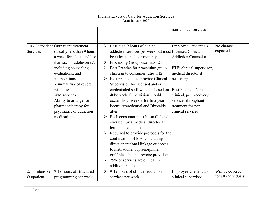|                   |                                       |                       |                                                                         | non-clinical services       |                     |
|-------------------|---------------------------------------|-----------------------|-------------------------------------------------------------------------|-----------------------------|---------------------|
|                   |                                       |                       |                                                                         |                             |                     |
|                   | 1.0 - Outpatient Outpatient treatment |                       | $\triangleright$ Less than 9 hours of clinical                          | Employee Credentials:       | No change           |
| Services          | (usually less than 9 hours            |                       | addiction services per week but must Licensed Clinical                  |                             | expected            |
|                   | a week for adults and less            |                       | be at least one hour monthly                                            | <b>Addiction Counselor.</b> |                     |
|                   | than six for adolescents),            | ➤                     | Processing Group Size max: 24                                           |                             |                     |
|                   | including counseling,                 |                       | Best Practice for processing group                                      | PTE: clinical supervisor,   |                     |
|                   | evaluations, and                      |                       | clinician to consumer ratio 1:12                                        | medical director if         |                     |
|                   | interventions.                        |                       | Best practice is to provide Clinical                                    | necessary                   |                     |
|                   | Minimal risk of severe                |                       | Supervision for licensed and or                                         |                             |                     |
|                   | withdrawal.                           |                       | credentialed staff which is based on                                    | <b>Best Practice: Non-</b>  |                     |
|                   | WM services 1                         |                       | 40hr week. Supervision should                                           | clinical, peer recovery     |                     |
|                   | Ability to arrange for                |                       | occurl hour weekly for first year of                                    | services throughout         |                     |
|                   | pharmacotherapy for                   |                       | licensure/credential and Biweekly                                       | treatment for non-          |                     |
|                   | psychiatric or addiction              |                       | after.                                                                  | clinical services           |                     |
|                   | medications                           |                       | Each consumer must be staffed and                                       |                             |                     |
|                   |                                       |                       | overseen by a medical director at                                       |                             |                     |
|                   |                                       |                       | least once a month.                                                     |                             |                     |
|                   |                                       | ➤                     | Required to provide protocols for the<br>continuation of MAT, including |                             |                     |
|                   |                                       |                       | direct operational linkage or access                                    |                             |                     |
|                   |                                       |                       | to methadone, buprenorphine,                                            |                             |                     |
|                   |                                       |                       | oral/injectable naltrexone providers                                    |                             |                     |
|                   |                                       | ➤                     | 75% of services are clinical in                                         |                             |                     |
|                   |                                       |                       | addition medical                                                        |                             |                     |
| $2.1$ - Intensive | 9-19 hours of structured              | $\blacktriangleright$ | 9-19 hours of clinical addiction                                        | Employee Credentials:       | Will be covered     |
| Outpatient        |                                       |                       | services per week                                                       | clinical supervisor,        | for all individuals |
|                   | programming per week                  |                       |                                                                         |                             |                     |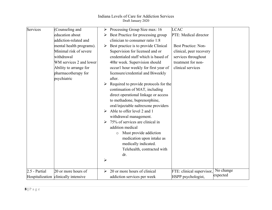| Services      | Counseling and                       | ➤                     | Processing Group Size max: 16                                           | <b>LCAC</b>                |           |
|---------------|--------------------------------------|-----------------------|-------------------------------------------------------------------------|----------------------------|-----------|
|               | education about                      |                       | Best Practice for processing group                                      | PTE: Medical director      |           |
|               | addiction-related and                |                       | clinician to consumer ratio 1:8                                         |                            |           |
|               | mental health programs).             | ➤                     | Best practice is to provide Clinical                                    | <b>Best Practice: Non-</b> |           |
|               | Minimal risk of severe               |                       | Supervision for licensed and or                                         | clinical, peer recovery    |           |
|               | withdrawal                           |                       | credentialed staff which is based of                                    | services throughout        |           |
|               | WM services 2 and lower              |                       | 40hr week. Supervision should                                           | treatment for non-         |           |
|               | Ability to arrange for               |                       | occurl hour weekly for first year of                                    | clinical services          |           |
|               | pharmacotherapy for                  |                       | licensure/credential and Biweekly                                       |                            |           |
|               | psychiatric                          |                       | after.                                                                  |                            |           |
|               |                                      |                       | Required to provide protocols for the<br>continuation of MAT, including |                            |           |
|               |                                      |                       | direct operational linkage or access                                    |                            |           |
|               |                                      |                       | to methadone, buprenorphine,                                            |                            |           |
|               |                                      |                       | oral/injectable naltrexone providers                                    |                            |           |
|               |                                      | ➤                     | Able to offer level 2 and 1                                             |                            |           |
|               |                                      |                       | withdrawal management.                                                  |                            |           |
|               |                                      | $\blacktriangleright$ | 75% of services are clinical in                                         |                            |           |
|               |                                      |                       | addition medical                                                        |                            |           |
|               |                                      |                       | Must provide addiction<br>$\circ$                                       |                            |           |
|               |                                      |                       | medication upon intake as                                               |                            |           |
|               |                                      |                       | medically indicated.                                                    |                            |           |
|               |                                      |                       | Telehealth, contracted with                                             |                            |           |
|               |                                      |                       | dr.                                                                     |                            |           |
|               |                                      | $\blacktriangleright$ |                                                                         |                            |           |
|               |                                      |                       |                                                                         |                            |           |
| 2.5 - Partial | 20 or more hours of                  | ➤                     | 20 or more hours of clinical                                            | FTE: clinical supervisor,  | No change |
|               | Hospitalization clinically intensive |                       | addiction services per week                                             | HSPP psychologist,         | expected  |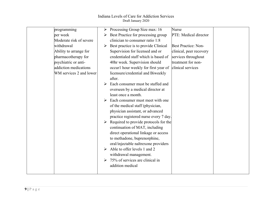| programming             | Processing Group Size max: 16<br><b>Nurse</b><br>➤                      |
|-------------------------|-------------------------------------------------------------------------|
| per week                | Best Practice for processing group<br>PTE: Medical director             |
| Moderate risk of severe | clinician to consumer ratio 1:8                                         |
| withdrawal              | Best practice is to provide Clinical<br><b>Best Practice: Non-</b><br>➤ |
| Ability to arrange for  | Supervision for licensed and or<br>clinical, peer recovery              |
| pharmacotherapy for     | credentialed staff which is based of<br>services throughout             |
| psychiatric or anti-    | 40hr week. Supervision should<br>treatment for non-                     |
| addiction medications   | clinical services<br>occurl hour weekly for first year of               |
| WM services 2 and lower | licensure/credential and Biweekly                                       |
|                         | after.                                                                  |
|                         | Each consumer must be staffed and                                       |
|                         | overseen by a medical director at                                       |
|                         | least once a month.                                                     |
|                         | Each consumer must meet with one                                        |
|                         | of the medical staff (physician,                                        |
|                         | physician assistant, or advanced                                        |
|                         | practice registered nurse every 7 day.                                  |
|                         | Required to provide protocols for the                                   |
|                         | continuation of MAT, including                                          |
|                         | direct operational linkage or access                                    |
|                         | to methadone, buprenorphine,                                            |
|                         | oral/injectable naltrexone providers                                    |
|                         | Able to offer levels 1 and 2                                            |
|                         | withdrawal management.                                                  |
|                         | 75% of services are clinical in<br>➤                                    |
|                         | addition medical                                                        |
|                         |                                                                         |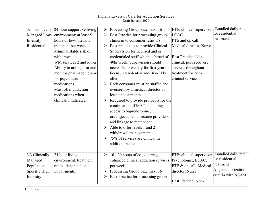|                | $3.1$ - Clinically 24-hour supportive living | ➤ | Processing Group Size max: 16         | FTE: clinical supervisor, Bundled daily rate |                     |
|----------------|----------------------------------------------|---|---------------------------------------|----------------------------------------------|---------------------|
|                | Managed Low- environment; at least 5         |   | Best Practice for processing group    | <b>LCAC</b>                                  | for residential     |
| Intensity      | hours of low-intensity                       |   | clinician to consumer ratio 1:8       | PTE and on call:                             | treatment           |
| Residential    | treatment per week                           |   | Best practice is to provide Clinical  | Medical director, Nurse                      |                     |
|                | Minimal stable risk of                       |   | Supervision for licensed and or       |                                              |                     |
|                | withdrawal                                   |   | credentialed staff which is based of  | <b>Best Practice: Non-</b>                   |                     |
|                | WM services 2 and lower                      |   | 40hr week. Supervision should         | clinical, peer recovery                      |                     |
|                | Ability to arrange for and                   |   | occurl hour weekly for first year of  | services throughout                          |                     |
|                | monitor pharmacotherapy                      |   | licensure/credential and Biweekly     | treatment for non-                           |                     |
|                | for psychiatric                              |   | after.                                | clinical services                            |                     |
|                | medications                                  |   | Each consumer must be staffed and     |                                              |                     |
|                | Must offer addiction                         |   | overseen by a medical director at     |                                              |                     |
|                | medications when                             |   | least once a month.                   |                                              |                     |
|                | clinically indicated                         |   | Required to provide protocols for the |                                              |                     |
|                |                                              |   | continuation of MAT, including        |                                              |                     |
|                |                                              |   | access to buprenorphine,              |                                              |                     |
|                |                                              |   | oral/injectable naltrexone providers  |                                              |                     |
|                |                                              |   | and linkage to methadone.             |                                              |                     |
|                |                                              |   | Able to offer levels 1 and 2          |                                              |                     |
|                |                                              |   | withdrawal management.                |                                              |                     |
|                |                                              |   | 75% of services are clinical in       |                                              |                     |
|                |                                              |   | addition medical                      |                                              |                     |
|                |                                              |   |                                       |                                              |                     |
| 3.3 Clinically | 24 hour living                               |   | $\geq 10 - 20$ hours of co-occurring  | FTE: clinical supervisor,                    | Bundled daily rate  |
| Managed        | environment, treatment                       |   | enhanced clinical addiction services  | Psychologist, LCAC,                          | for residential     |
| Population -   | milieu depended on                           |   | per week                              | PTE & on call: Medical                       | treatment           |
| Specific High  | impairments.                                 | ➤ | Processing Group Size max: 16         | director, Nurse                              | Align authorization |
| Intensity      |                                              | ➤ | Best Practice for processing group    |                                              | criteria with ASAM  |
|                |                                              |   |                                       | <b>Best Practice: Non-</b>                   |                     |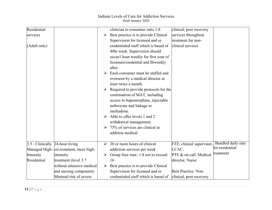| Residential                     |                                      |   | clinician to consumer ratio 1:8       | clinical, peer recovery    |                                       |
|---------------------------------|--------------------------------------|---|---------------------------------------|----------------------------|---------------------------------------|
| services                        |                                      | ➤ | Best practice is to provide Clinical  | services throughout        |                                       |
|                                 |                                      |   | Supervision for licensed and or       | treatment for non-         |                                       |
| (Adult only)                    |                                      |   | credentialed staff which is based of  | clinical services          |                                       |
|                                 |                                      |   | 40hr week. Supervision should         |                            |                                       |
|                                 |                                      |   | occurl hour weekly for first year of  |                            |                                       |
|                                 |                                      |   | licensure/credential and Biweekly     |                            |                                       |
|                                 |                                      |   | after.                                |                            |                                       |
|                                 |                                      |   | Each consumer must be staffed and     |                            |                                       |
|                                 |                                      |   | overseen by a medical director at     |                            |                                       |
|                                 |                                      |   | least twice a month.                  |                            |                                       |
|                                 |                                      | ➤ | Required to provide protocols for the |                            |                                       |
|                                 |                                      |   | continuation of MAT, including        |                            |                                       |
|                                 |                                      |   | access to buprenorphine, injectable   |                            |                                       |
|                                 |                                      |   | naltrexone and linkage to             |                            |                                       |
|                                 |                                      |   | methadone.                            |                            |                                       |
|                                 |                                      |   | Able to offer levels 1 and 2          |                            |                                       |
|                                 |                                      |   | withdrawal management.                |                            |                                       |
|                                 |                                      |   | 75% of services are clinical in       |                            |                                       |
|                                 |                                      |   | addition medical                      |                            |                                       |
|                                 |                                      |   |                                       |                            |                                       |
| 3.5 - Clinically 24-hour living |                                      | ➤ | 20 or more hours of clinical          | FTE: clinical supervisor,  | Bundled daily rate<br>for residential |
|                                 | Managed High-environment, more high- |   | addiction services per week           | LCAC,                      | treatment                             |
| Intensity                       | intensity                            | ➤ | Group Size max: 1:8 not to exceed     | PTE & on call: Medical     |                                       |
| Residential                     | treatment (level 3.7                 |   | 16                                    | director, Nurse            |                                       |
|                                 | without intensive medical            |   | Best practice is to provide Clinical  |                            |                                       |
|                                 | and nursing component)               |   | Supervision for licensed and or       | <b>Best Practice: Non-</b> |                                       |
|                                 | Minimal risk of severe               |   | credentialed staff which is based of  | clinical, peer recovery    |                                       |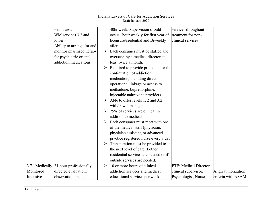|           | withdrawal                             |                       | 40hr week. Supervision should          | services throughout    |                     |
|-----------|----------------------------------------|-----------------------|----------------------------------------|------------------------|---------------------|
|           | WM services 3.2 and                    |                       | occurl hour weekly for first year of   | treatment for non-     |                     |
|           | lower                                  |                       | licensure/credential and Biweekly      | clinical services      |                     |
|           | Ability to arrange for and             |                       | after.                                 |                        |                     |
|           | monitor pharmacotherapy                | ➤                     | Each consumer must be staffed and      |                        |                     |
|           | for psychiatric or anti-               |                       | overseen by a medical director at      |                        |                     |
|           | addiction medications                  |                       | least twice a month.                   |                        |                     |
|           |                                        |                       | Required to provide protocols for the  |                        |                     |
|           |                                        |                       | continuation of addiction              |                        |                     |
|           |                                        |                       | medication, including direct           |                        |                     |
|           |                                        |                       | operational linkage or access to       |                        |                     |
|           |                                        |                       | methadone, buprenorphine,              |                        |                     |
|           |                                        |                       | injectable naltrexone providers        |                        |                     |
|           |                                        |                       | Able to offer levels 1, 2 and 3.2      |                        |                     |
|           |                                        |                       | withdrawal management.                 |                        |                     |
|           |                                        |                       | 75% of services are clinical in        |                        |                     |
|           |                                        |                       | addition to medical                    |                        |                     |
|           |                                        | ➤                     | Each consumer must meet with one       |                        |                     |
|           |                                        |                       | of the medical staff (physician,       |                        |                     |
|           |                                        |                       | physician assistant, or advanced       |                        |                     |
|           |                                        |                       | practice registered nurse every 7 day. |                        |                     |
|           |                                        |                       | Transpiration must be provided to      |                        |                     |
|           |                                        |                       | the next level of care if other        |                        |                     |
|           |                                        |                       | residential services are needed or if  |                        |                     |
|           |                                        |                       | outside services are needed.           |                        |                     |
|           | 3.7 - Medically 24-hour professionally | $\blacktriangleright$ | 10 or more hours of clinical           | FTE: Medical Director, |                     |
| Monitored | directed evaluation,                   |                       | addiction services and medical         | clinical supervisor,   | Align authorization |
| Intensive | observation, medical                   |                       | educational services per week          | Psychologist, Nurse,   | criteria with ASAM  |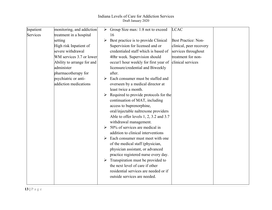| Inpatient | monitoring, and addiction  | ➤ | Group Size max: 1:8 not to exceed      | <b>LCAC</b>             |  |
|-----------|----------------------------|---|----------------------------------------|-------------------------|--|
| Services  | treatment in a hospital    |   | 16                                     |                         |  |
|           | setting                    | ➤ | Best practice is to provide Clinical   | Best Practice: Non-     |  |
|           | High risk Inpatient of     |   | Supervision for licensed and or        | clinical, peer recovery |  |
|           | severe withdrawal          |   | credentialed staff which is based of   | services throughout     |  |
|           | WM services 3.7 or lower   |   | 40hr week. Supervision should          | treatment for non-      |  |
|           | Ability to arrange for and |   | occurl hour weekly for first year of   | clinical services       |  |
|           | administer                 |   | licensure/credential and Biweekly      |                         |  |
|           | pharmacotherapy for        |   | after.                                 |                         |  |
|           | psychiatric or anti-       | ➤ | Each consumer must be staffed and      |                         |  |
|           | addiction medications      |   | overseen by a medical director at      |                         |  |
|           |                            |   | least twice a month.                   |                         |  |
|           |                            |   | Required to provide protocols for the  |                         |  |
|           |                            |   | continuation of MAT, including         |                         |  |
|           |                            |   | access to buprenorphine,               |                         |  |
|           |                            |   | oral/injectable naltrexone providers   |                         |  |
|           |                            |   | Able to offer levels 1, 2, 3.2 and 3.7 |                         |  |
|           |                            |   | withdrawal management.                 |                         |  |
|           |                            |   | 50% of services are medical in         |                         |  |
|           |                            |   | addition to clinical interventions     |                         |  |
|           |                            |   | Each consumer must meet with one       |                         |  |
|           |                            |   | of the medical staff (physician,       |                         |  |
|           |                            |   | physician assistant, or advanced       |                         |  |
|           |                            |   | practice registered nurse every day.   |                         |  |
|           |                            | ➤ | Transpiration must be provided to      |                         |  |
|           |                            |   | the next level of care if other        |                         |  |
|           |                            |   | residential services are needed or if  |                         |  |
|           |                            |   | outside services are needed.           |                         |  |
|           |                            |   |                                        |                         |  |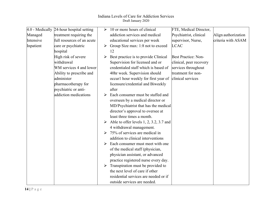|           | 4.0 - Medically 24-hour hospital setting | ➤                     | 10 or more hours of clinical                           | FTE, Medical Director,  |                     |
|-----------|------------------------------------------|-----------------------|--------------------------------------------------------|-------------------------|---------------------|
| Managed   | treatment requiring the                  |                       | addiction services and medical                         | Psychiatrist, clinical  | Align authorization |
| Intensive | full resources of an acute               |                       | educational services per week                          | supervisor, Nurse,      | criteria with ASAM  |
| Inpatient | care or psychiatric                      | $\blacktriangleright$ | Group Size max: 1:8 not to exceed                      | <b>LCAC</b>             |                     |
|           | hospital                                 |                       | 12                                                     |                         |                     |
|           | High risk of severe                      |                       | Best practice is to provide Clinical                   | Best Practice: Non-     |                     |
|           | withdrawal                               |                       | Supervision for licensed and or                        | clinical, peer recovery |                     |
|           | WM services 4 and lower                  |                       | credentialed staff which is based of                   | services throughout     |                     |
|           | Ability to prescribe and                 |                       | 40hr week. Supervision should                          | treatment for non-      |                     |
|           | administer                               |                       | occurl hour weekly for first year of clinical services |                         |                     |
|           | pharmacotherapy for                      |                       | licensure/credential and Biweekly                      |                         |                     |
|           | psychiatric or anti-                     |                       | after                                                  |                         |                     |
|           | addiction medications                    |                       | Each consumer must be staffed and                      |                         |                     |
|           |                                          |                       | overseen by a medical director or                      |                         |                     |
|           |                                          |                       | MD/Psychiatrist that has the medical                   |                         |                     |
|           |                                          |                       | director's approval to oversee at                      |                         |                     |
|           |                                          |                       | least three times a month.                             |                         |                     |
|           |                                          |                       | Able to offer levels $1, 2, 3.2, 3.7$ and              |                         |                     |
|           |                                          |                       | 4 withdrawal management.                               |                         |                     |
|           |                                          |                       | 75% of services are medical in                         |                         |                     |
|           |                                          |                       | addition to clinical interventions                     |                         |                     |
|           |                                          |                       | Each consumer must meet with one                       |                         |                     |
|           |                                          |                       | of the medical staff (physician,                       |                         |                     |
|           |                                          |                       | physician assistant, or advanced                       |                         |                     |
|           |                                          |                       | practice registered nurse every day.                   |                         |                     |
|           |                                          |                       | $\triangleright$ Transpiration must be provided to     |                         |                     |
|           |                                          |                       | the next level of care if other                        |                         |                     |
|           |                                          |                       | residential services are needed or if                  |                         |                     |
|           |                                          |                       | outside services are needed.                           |                         |                     |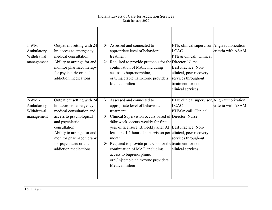| $1-WM -$<br>Ambulatory<br>Withdrawal<br>management | Outpatient setting with 24<br>hr. access to emergency<br>medical consultation.<br>Ability to arrange for and<br>monitor pharmacotherapy<br>for psychiatric or anti-<br>addiction medications                                                                  | $\triangleright$ Assessed and connected to<br>FTE, clinical supervisor, Align authorization<br>appropriate level of behavioral<br><b>LCAC</b><br>PTE & On call: Clinical<br>treatment.<br>Required to provide protocols for the Director, Nurse<br>➤<br>continuation of MAT, including<br>Best Practice: Non-<br>access to buprenorphine,<br>clinical, peer recovery<br>oral/injectable naltrexone providers<br>services throughout<br>Medical milieu<br>treatment for non-<br>clinical services                                                                                                                                                                                | criteria with ASAM |
|----------------------------------------------------|---------------------------------------------------------------------------------------------------------------------------------------------------------------------------------------------------------------------------------------------------------------|---------------------------------------------------------------------------------------------------------------------------------------------------------------------------------------------------------------------------------------------------------------------------------------------------------------------------------------------------------------------------------------------------------------------------------------------------------------------------------------------------------------------------------------------------------------------------------------------------------------------------------------------------------------------------------|--------------------|
| $2-WM -$<br>Ambulatory<br>Withdrawal<br>management | Outpatient setting with 24<br>hr. access to emergency<br>medical consultation and<br>access to psychological<br>and psychiatric<br>consultation<br>Ability to arrange for and<br>monitor pharmacotherapy<br>for psychiatric or anti-<br>addiction medications | $\triangleright$ Assessed and connected to<br>FTE: clinical supervisor, Align authorization<br><b>LCAC</b><br>appropriate level of behavioral<br>PTE/On call: Clinical<br>treatment.<br>$\triangleright$ Clinical Supervision occurs based of Director, Nurse<br>40hr week, occurs weekly for first<br>year of licensure. Biweekly after At Best Practice: Non-<br>least one 1:1 hour of supervision per clinical, peer recovery<br>services throughout<br>month.<br>Required to provide protocols for the treatment for non-<br>➤<br>continuation of MAT, including<br>clinical services<br>access to buprenorphine,<br>oral/injectable naltrexone providers<br>Medical milieu | criteria with ASAM |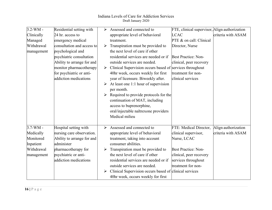| $3.2-WM -$ | Residential setting with   |   | Assessed and connected to                                                 | FTE, clinical supervisor, Align authorization |                     |
|------------|----------------------------|---|---------------------------------------------------------------------------|-----------------------------------------------|---------------------|
| Clinically | 24 hr. access to           |   | appropriate level of behavioral                                           | <b>LCAC</b>                                   | criteria with ASAM  |
| Managed    | emergency medical          |   | treatment.                                                                | PTE & on call: Clinical                       |                     |
| Withdrawal | consultation and access to | ➤ | Transpiration must be provided to                                         | Director, Nurse                               |                     |
| management | psychological and          |   | the next level of care if other                                           |                                               |                     |
|            | psychiatric consultation   |   | residential services are needed or if                                     | <b>Best Practice: Non-</b>                    |                     |
|            | Ability to arrange for and |   | outside services are needed.                                              | clinical, peer recovery                       |                     |
|            | monitor pharmacotherapy    |   | $\triangleright$ Clinical Supervision occurs based of services throughout |                                               |                     |
|            | for psychiatric or anti-   |   | 40hr week, occurs weekly for first                                        | treatment for non-                            |                     |
|            | addiction medications      |   | year of licensure. Biweekly after.                                        | clinical services                             |                     |
|            |                            |   | $\triangleright$ At least one 1:1 hour of supervision                     |                                               |                     |
|            |                            |   | per month.                                                                |                                               |                     |
|            |                            | ➤ | Required to provide protocols for the                                     |                                               |                     |
|            |                            |   | continuation of MAT, including                                            |                                               |                     |
|            |                            |   | access to buprenorphine,                                                  |                                               |                     |
|            |                            |   | oral/injectable naltrexone providers                                      |                                               |                     |
|            |                            |   | Medical milieu                                                            |                                               |                     |
|            |                            |   |                                                                           |                                               |                     |
| $3.7-WM -$ | Hospital setting with      | ➤ | Assessed and connected to                                                 | FTE: Medical Director,                        | Align authorization |
| Medically  | nursing care observation.  |   | appropriate level of behavioral                                           | clinical supervisor,                          | criteria with ASAM  |
| Monitored  | Ability to arrange for and |   | treatment, taking into account                                            | Nurse, LCAC                                   |                     |
| Inpatient  | administer                 |   | consumer abilities.                                                       |                                               |                     |
| Withdrawal | pharmacotherapy for        |   | Transpiration must be provided to                                         | <b>Best Practice: Non-</b>                    |                     |
| management | psychiatric or anti-       |   | the next level of care if other                                           | clinical, peer recovery                       |                     |
|            | addiction medications      |   | residential services are needed or if                                     | services throughout                           |                     |
|            |                            |   | outside services are needed.                                              | treatment for non-                            |                     |
|            |                            | ➤ | Clinical Supervision occurs based of clinical services                    |                                               |                     |
|            |                            |   | 40hr week, occurs weekly for first                                        |                                               |                     |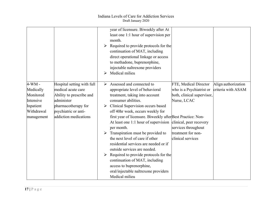|                                                                                          |                                                                                                                                                                    | year of licensure. Biweekly after At<br>least one 1:1 hour of supervision per<br>month.<br>Required to provide protocols for the<br>➤<br>continuation of MAT, including<br>direct operational linkage or access<br>to methadone, buprenorphine,<br>injectable naltrexone providers<br>Medical milieu<br>➤                                                                                                                                                                                                                                                                                                                                                                                                                                                                                                                                                                                |
|------------------------------------------------------------------------------------------|--------------------------------------------------------------------------------------------------------------------------------------------------------------------|------------------------------------------------------------------------------------------------------------------------------------------------------------------------------------------------------------------------------------------------------------------------------------------------------------------------------------------------------------------------------------------------------------------------------------------------------------------------------------------------------------------------------------------------------------------------------------------------------------------------------------------------------------------------------------------------------------------------------------------------------------------------------------------------------------------------------------------------------------------------------------------|
| $4-WM -$<br>Medically<br>Monitored<br>Intensive<br>Inpatient<br>Withdrawal<br>management | Hospital setting with full<br>medical acute care<br>Ability to prescribe and<br>administer<br>pharmacotherapy for<br>psychiatric or anti-<br>addiction medications | Assessed and connected to<br>FTE, Medical Director<br>Align authorization<br>➤<br>who is a Psychiatrist or<br>criteria with ASAM<br>appropriate level of behavioral<br>both, clinical supervisor,<br>treatment, taking into account<br>consumer abilities.<br>Nurse, LCAC<br>Clinical Supervision occurs based<br>➤<br>off 40hr week, occurs weekly for<br>first year of licensure. Biweekly after Best Practice: Non-<br>At least one 1:1 hour of supervision clinical, peer recovery<br>services throughout<br>per month.<br>treatment for non-<br>Transpiration must be provided to<br>the next level of care if other<br>clinical services<br>residential services are needed or if<br>outside services are needed.<br>Required to provide protocols for the<br>continuation of MAT, including<br>access to buprenorphine,<br>oral/injectable naltrexone providers<br>Medical milieu |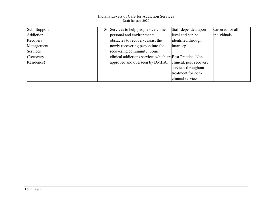| Sub-Support | Staff depended upon<br>$\triangleright$ Services to help people overcome | Covered for all |
|-------------|--------------------------------------------------------------------------|-----------------|
| Addiction   | level and can be<br>personal and environmental                           | individuals     |
| Recovery    | obstacles to recovery, assist the<br>identified through                  |                 |
| Management  | newly recovering person into the<br>inarr.org.                           |                 |
| Services    | recovering community. Some                                               |                 |
| (Recovery)  | clinical addictions services which are Best Practice: Non-               |                 |
| Residence)  | clinical, peer recovery<br>approved and overseen by DMHA.                |                 |
|             | services throughout                                                      |                 |
|             | treatment for non-                                                       |                 |
|             | clinical services                                                        |                 |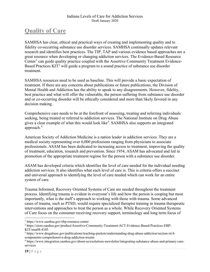# **Quality of Care**

SAMHSA has clear, ethical and practical ways of creating and implementing quality and to fidelity co-occurring substance use disorder services. SAMHSA continually updates relevant research and identifies best practices. The TIP, TAP and various evidence based approaches are a great resource when developing or changing addiction services. The Evidence-Based Resource Center<sup>[1](#page-18-0)</sup> can guide quality practice coupled with the Assertive Community Treatment Evidence-Based Practices KIT<sup>[2](#page-18-1)</sup> will guide a program to a sound practice of substance use disorder treatment.

SAMHSA resources need to be used as baseline. This will provide a basic expectation of treatment. If there are any concerns about publications or future publications, the Division of Mental Health and Addiction has the ability to speak to any disagreements. However, fidelity, best practice and what will offer the vulnerable, the person suffering from substance use disorder and or co-occurring disorder will be ethically considered and more than likely favored in any decision making.

Comprehensive care needs to be at the forefront of assessing, treating and referring individuals seeking, being treated or referred to addiction services. The National Institute on Drug Abuse gives a clear example of what this would look like<sup>[3](#page-18-2)</sup>. SAMHSA also supports an integrated approach. [4](#page-18-3)

American Society of Addiction Medicine is a nation leader in addiction services. They are a medical society representing over 6,000 professions ranging from physicians to associate professionals. ASAM has been dedicated to increasing access to treatment, improving the quality of treatment, education, research and prevention. Since 1954, ASAM has advocated and led in promotion of the appropriate treatment regime for the person with a substance use disorder.

ASAM has developed criteria which identifies the level of care needed for the individual needing addiction services. It also identifies what each level of care is. This is criteria offers a succinct and universal approach to identifying the level of care needed which can work for an entire system of care.

Trauma Informed, Recovery Oriented Systems of Care are needed throughout the treatment process. Identifying trauma is evident in everyone's life and how the person is cooping but most importantly, what is the staff's approach to working with those with trauma. Some advanced cases of trauma, such as PTSD, would require specialized therapist training in trauma therapeutic interventions and approaches to treat the person as a whole. While Recovery Oriented Systems of Care focus on the consumer receiving recovery support, terminology and long term focus of

<span id="page-18-0"></span> <sup>1</sup> https://www.samhsa.gov/ebp-resource-center

<span id="page-18-1"></span><sup>2</sup> https://store.samhsa.gov/product/Assertive-Community-Treatment-ACT-Evidence-Based-Practices-EBP-KIT/sma08-4345

<span id="page-18-2"></span><sup>3</sup> https://www.drugabuse.gov/publications/teaching-packets/understanding-drug-abuse-addiction/section-iii/4 components-comprehensive-drug-addiction-treatm

<span id="page-18-3"></span><sup>4</sup> https://www.integration.samhsa.gov/about-us/esolutions-newsletter/integrating-substance-abuse-and-primary-careservices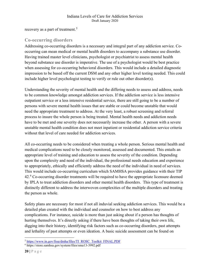recovery as a part of treatment.<sup>[5](#page-19-0)</sup>

## **Co-occurring disorders**

Addressing co-occurring disorders is a necessary and integral part of any addiction service. Cooccurring can mean medical or mental health disorders to accompany a substance use disorder. Having trained master level clinicians, psychologist or psychiatrist to assess mental health beyond substance use disorder is imperative. The use of a psychologist would be best practice when assessing for co-occurring behavioral disorders. This would include a detailed diagnostic impression to be based off the current DSM and any other higher level testing needed. This could include higher level psychologist testing to verify or rule out other disorder(s).

Understanding the severity of mental health and the differing needs to assess and address, needs to be common knowledge amongst addiction services. If the addiction service is less intensive outpatient service or a less intensive residential service, there are still going to be a number of persons with severe mental health issues that are stable or could become unstable that would need the appropriate treatment to address. At the very least, a robust screening and referral process to insure the whole person is being treated. Mental health needs and addiction needs have to be met and one severity does not necessarily increase the other. A person with a severe unstable mental health condition does not meet inpatient or residential addiction service criteria without that level of care needed for addiction services.

All co-occurring needs to be considered when treating a whole person. Serious mental health and medical complications need to be closely monitored, assessed and documented. This entails an appropriate level of training and education to assess the severity of the condition. Depending upon the complexity and need of the individual, the professional needs education and experience to appropriately, ethically and efficiently address the need of the individual in need of services. This would include co-occurring curriculum which SAMHSA provides guidance with their TIP 42.<sup>[6](#page-19-1)</sup> Co-occurring disorder treatments will be required to have the appropriate licensure deemed by IPLA to treat addiction disorders and other mental health disorders. This type of treatment is distinctly different to address the interwoven complexities of the multiple disorders and treating the person as whole.

Safety plans are necessary for most if not all induvial seeking addiction services. This would be a detailed plan created with the individual and counselor on how to best address any complications. For instance, suicide is more than just asking about if a person has thoughts of hurting themselves. It's directly asking if there have been thoughts of taking their own life, digging into their history, identifying risk factors such as co-occurring disorders, past attempts and lethality of past attempts or even ideation. A basic suicide assessment can be found on

<span id="page-19-0"></span> <sup>5</sup> [https://www.in.gov/fssa/dmha/files/TI\\_ROSC\\_Toolkit\\_FINAL.PDF](https://www.in.gov/fssa/dmha/files/TI_ROSC_Toolkit_FINAL.PDF)

<span id="page-19-1"></span><sup>6</sup> https://store.samhsa.gov/system/files/sma13-3992.pdf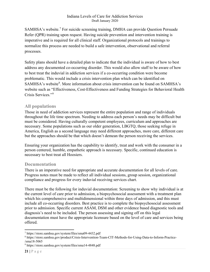SAMHSA's website. [7](#page-20-0) For suicide screening training, DMHA can provide Question Persuade Refer (QPR) training upon request. Having suicide prevention and intervention training is imperative and is required for all clinical staff. Organizational protocols and trainings to normalize this process are needed to build a safe intervention, observational and referral processes.

Safety plans should have a detailed plan to indicate that the individual is aware of how to best address any documented co-occurring disorder. This would also allow staff to be aware of how to best treat the induvial in addiction services if a co-occurring condition were become problematic. This would include a crisis intervention plan which can be identified on SAMHSA's website<sup>[8](#page-20-1)</sup>. More information about crisis intervention can be found on SAMHSA's website such as "Effectiveness, Cost-Effectiveness and Funding Strategies for Behavioral Health Crisis Services."[9](#page-20-2)

### **All populations**

Those in need of addiction services represent the entire population and range of individuals throughout the life time spectrum. Needing to address each person's needs may be difficult but must be considered. Having culturally competent employees, curriculum and approaches are necessary. Some populations such as our older generation, LBGTQ, those seeking refuge in America, English as a second language may need different approaches, more care, different care but the approaches should be that which doesn't demean the person receiving the services.

Ensuring your organization has the capability to identify, treat and work with the consumer in a person centered, humble, empathetic approach is necessary. Specific, continued education is necessary to best treat all Hoosiers.

#### **Documentation**

There is an imperative need for appropriate and accurate documentation for all levels of care. Progress notes must be made to reflect all individual sessions, group session, organizational compliance and progress for every induvial receiving services chart.

There must be the following for induvial documentation: Screening to show why individual is at the current level of care prior to admission, a biopsychosocial assessment with a treatment plan which his comprehensive and multidimensional within three days of admission, and this must include all co-occurring disorders. Best practice is to complete the biopsychosocial assessment prior to admission. Specific current ASAM, DSM and other evidence based diagnostic tools and diagnosis's need to be included. The person assessing and signing off on this legal documentation must have the appropriate licensure based on the level of care and services being offered.

<span id="page-20-0"></span> <sup>7</sup> https://store.samhsa.gov/system/files/sma09-4432.pdf

<span id="page-20-1"></span><sup>8</sup> https://store.samhsa.gov/product/Crisis-Intervention-Team-CIT-Methods-for-Using-Data-to-Inform-Practice- /sma18-5065

<span id="page-20-2"></span><sup>9</sup> https://store.samhsa.gov/system/files/sma14-4848.pdf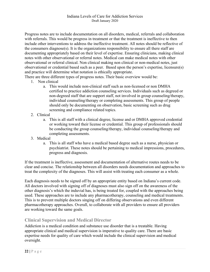Progress notes are to include documentation on all disorders, medical, referrals and collaboration with referrals. This would be progress in treatment or that the treatment is ineffective to then include other interventions to address the ineffective treatment. All notes should be reflective of the consumers diagnose(s). It is the organizations responsibility to ensure all there staff are documenting appropriately based on their level of expertise. Ensuring clinicians, making clinical notes with other observational or referral notes. Medical can make medical notes with other observational or referral clinical. Non clinical making non clinical or non-medical notes, just observational or credential based such as a peer. Based upon the person's expertise, licensure(s) and practice will determine what notation is ethically appropriate.

There are three different types of progress notes. Their basic overview would be:

- 1. Non clinical
	- a. This would include non-clinical staff such as non-licensed or non DMHA certified to practice addiction counseling services. Individuals such as degreed or non-degreed staff that are support staff, not involved in group counseling/therapy, individual counseling/therapy or completing assessments. This group of people should only be documenting on observation, basic screening such as drug screening and compliance related topics.
- 2. Clinical
	- a. This is all staff with a clinical degree, license and or DMHA approved credential or working toward their license or credential. This group of professionals should be conducting the group counseling/therapy, individual counseling/therapy and completing assessments.
- 3. Medical
	- a. This is all staff who have a medical based degree such as a nurse, physician or psychiatrist. These notes should be pertaining to medical impressions, procedures, progress and diagnosis.

If the treatment is ineffective, assessment and documentation of alternative routes needs to be clear and concise. The relationship between all disorders needs documentation and approaches to treat the complexity of the diagnoses. This will assist with treating each consumer as a whole.

Each diagnosis needs to be signed off by an appropriate entity based on Indiana's current code. All doctors involved with signing off of diagnoses must also sign off on the awareness of the other diagnosis's which the induvial has, is being treated for, coupled with the approaches being used. These approaches are to include any pharmacotherapy, counseling and medical treatments. This is to prevent multiple doctors singing off on differing observations and even different pharmacotherapy approaches. Overall, to collaborate with all providers to ensure all providers are working toward the same goals.

#### **Clinical Supervision and Medical Director**

Addiction is a medical condition and substance use disorder that is a treatable. Having appropriate clinical and medical supervision is imperative to quality care. There are basic expertise needs for quality of care which would include the clinical supervision and medical oversight.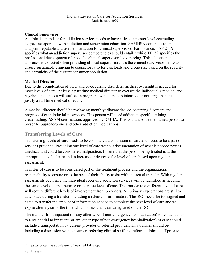#### **Clinical Supervisor**

A clinical supervisor for addiction services needs to have at least a master level counseling degree incorporated with addiction and supervision education. SAMHSA continues to update and print reputable and usable instruction for clinical supervisors. For instance, TAP 21-A specifies what an addiction supervisor competencies should entail<sup>[10](#page-22-0)</sup> while TIP 52 specifies the professional development of those the clinical supervisor is overseeing. This education and approach is expected when providing clinical supervision. It's the clinical supervisor's role to ensure sustainable clinician to counselor ratio for caseloads and group size based on the severity and chronicity of the current consumer population.

#### **Medical Director**

Due to the complexities of SUD and co-occurring disorders, medical oversight is needed for most levels of care. At least a part time medical director to oversee the individual's medical and psychological needs will suffice in programs which are less intensive or not large in size to justify a full time medical director.

A medical director should be reviewing monthly: diagnostics, co-occurring disorders and progress of each induvial in services. This person will need addiction specific training, credentialing, ASAM certification, approved by DMHA. This could also be the trained person to prescribe buprenorphine and other addiction medications.

### **Transferring Levels of Care**

Transferring levels of care needs to be considered a continuum of care and needs to be a part of services provided. Providing one level of care without documentation of what is needed next is unethical and could be considered malpractice. Ensure that the person being treated is at the appropriate level of care and to increase or decrease the level of care based upon regular assessment.

Transfer of care is to be considered part of the treatment process and the organizations responsibility to ensure or to the best of their ability assist with the actual transfer. With regular assessments occurring the individual receiving addiction services will be identified as needing the same level of care, increase or decrease level of care. The transfer to a different level of care will require different levels of involvement from providers. All privacy expectations are still to take place during a transfer, including a release of information. This ROI needs be too signed and dated to transfer the amount of information needed to complete the next level of care and will expire after a year or the time which is less than year designated on the ROI.

The transfer from inpatient (or any other type of non-emergency hospitalization) to residential or to a residential to inpatient (or any other type of non-emergency hospitalization) of care should include a transportation by current provider or referral provider. This transfer should be including a discussion with consumer, referring clinical staff and referral clinical staff prior to

<span id="page-22-0"></span> <sup>10</sup> https://store.samhsa.gov/system/files/sma14-4435.pdf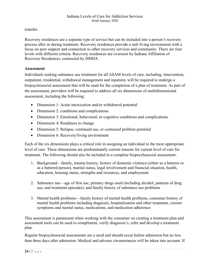transfer.

Recovery residences are a separate type of service but can be included into a person's recovery process after or during treatment. Recovery residences provide a safe living environment with a focus on peer support and connection to other recovery services and community. There are four levels with different criteria. Recovery residences are overseen by Indiana Affiliation of Recovery Residences, contracted by DMHA.

#### **Assessment**

Individuals seeking substance use treatment for all ASAM levels of care, including, intervention, outpatient, residential, withdrawal management and inpatient, will be required to undergo a biopsychosocial assessment that will be used for the completion of a plan of treatment. As part of the assessment, providers will be required to address all six dimensions of multidimensional assessment, including the following:

- Dimension 1: Acute intoxication and/or withdrawal potential
- Dimension 2: conditions and complications
- Dimension 3: Emotional, behavioral, or cognitive conditions and complications
- Dimension 4: Readiness to change
- Dimension 5: Relapse, continued use, or continued problem potential
- Dimension 6: Recovery/living environment

Each of the six dimensions plays a critical role in assigning an individual to the most appropriate level of care. These dimensions are predominantly current reasons for current level of care for treatment. The following should also be included in a complete biopsychosocial assessment:

- 1. Background—family, trauma history, history of domestic violence (either as a batterer or as a battered person), marital status, legal involvement and financial situation, health, education, housing status, strengths and resources, and employment
- 2. Substance use—age of first use, primary drugs used (including alcohol, patterns of drug use, and treatment episodes), and family history of substance use problems
- 3. Mental health problems—family history of mental health problems, consumer history of mental health problems including diagnosis, hospitalization and other treatment, current symptoms and mental status, medications, and medication adherence

This assessment is paramount when working with the consumer on creating a treatment plan and assessment tools can be used to compliment, verify diagnosis's, refer and develop a treatment plan.

Regular biopsychosocial assessments are a need and should occur before admission but no less than three days after admission. Medical and adverse circumstances will be taken into account. If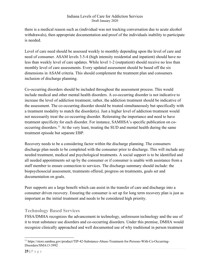there is a medical reason such as (individual was not tracking conversation due to acute alcohol withdrawals), then appropriate documentation and proof of the individuals inability to participate is needed.

Level of care need should be assessed weekly to monthly depending upon the level of care and need of consumer. ASAM levels 3.5-4 (high intensity residential and inpatient) should have no less than weekly level of care updates. While level 1-2 (outpatient) should receive no less than monthly level of care assessments. Every updated assessment should be based off the six dimensions in ASAM criteria. This should complement the treatment plan and consumers inclusion of discharge planning.

Co-occurring disorders should be included throughout the assessment process. This would include medical and other mental health disorders. A co-occurring disorder is not indicative to increase the level of addiction treatment, rather, the addiction treatment should be indicative of the assessment. The co-occurring disorder should be treated simultaneously but specifically with a treatment modality to match the disorder(s). Just a higher level of addiction treatment would not necessarily treat the co-occurring disorder. Reiterating the importance and need to have treatment specificity for each disorder. For instance, SAMHSA's specific publication on co-occurring disorders.<sup>[11](#page-24-0)</sup> At the very least, treating the SUD and mental health during the same treatment episode but separate EBP.

Recovery needs to be a considering factor within the discharge planning. The consumers discharge plan needs to be completed with the consumer prior to discharge. This will include any needed treatment, medical and psychological treatments. A social support is to be identified and all needed appointments set up by the consumer or if consumer is unable with assistance from a staff member to ensure connection to services. The discharge summary should include: the biopsychosocial assessment, treatments offered, progress on treatments, goals set and documentation on goals.

Peer supports are a large benefit which can assist in the transfer of care and discharge into a consumer driven recovery. Ensuring the consumer is set up for long term recovery plan is just as important as the initial treatment and needs to be considered high priority.

## **Technology Based Services**

FSSA/DMHA recognizes the advancement in technology, unforeseen technology and the use of it to treat substance use disorders and co-occurring disorders. Under this premise, DMHA would recognize clinically approached and well documented use of why traditional in person treatment

<span id="page-24-0"></span> <sup>11</sup> https://store.samhsa.gov/product/TIP-42-Substance-Abuse-Treatment-for-Persons-With-Co-Occurring-Disorders/SMA13-3992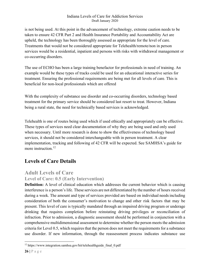is not being used. At this point in the advancement of technology, extreme caution needs to be taken to ensure 42 CFR Part 2 and Health Insurance Portability and Accountability Act are upheld, the technology has been thoroughly assessed as appropriate for the level of care. Treatments that would not be considered appropriate for Telehealth/remote/non in person services would be a residential, inpatient and persons with risks with withdrawal management or co-occurring disorders.

The use of ECHO has been a large training benefactor for professionals in need of training. An example would be these types of tracks could be used for an educational interactive series for treatment. Ensuring the professional requirements are being met for all levels of care. This is beneficial for non-local professionals which are offered

With the complexity of substance use disorder and co-occurring disorders, technology based treatment for the primary service should be considered last resort to treat. However, Indiana being a rural state, the need for technically based services is acknowledged.

Telehealth is one of routes being used which if used ethically and appropriately can be effective. These types of services need clear documentation of why they are being used and only used when necessary. Until more research is done to show the effectiveness of technology based services, it should not be considered interchangeable with in person treatment. A clear implementation, tracking and following of 42 CFR will be expected. See SAMHSA's guide for more instruction.<sup>[12](#page-25-0)</sup>

## **Levels of Care Details**

## **Adult Levels of Care**

### **Level of Care: 0.5 (Early Intervention)**

**Definition:** A level of clinical education which addresses the current behavior which is causing interference is a person's life. These services are not differentiated by the number of hours received during a week. The amount and type of services provided are based on individual needs including consideration of both the consumer's motivation to change and other risk factors that may be present. This level of care is typically mandated through an impaired driving program or underage drinking that requires completion before reinstating driving privileges or reconciliation of infraction. Prior to admission, a diagnostic assessment should be performed in conjunction with a comprehensive multidimensional assessment to determine whether the person meets the admission criteria for Level 0.5, which requires that the person does not meet the requirements for a substance use disorder. If new information, through the reassessment process indicates substance use

<span id="page-25-0"></span><sup>&</sup>lt;sup>12</sup> https://www.integration.samhsa.gov/hit/telehealthguide\_final\_0.pdf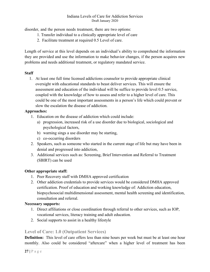disorder, and the person needs treatment, there are two options:

- 1. Transfer individual to a clinically appropriate level of care
- 2. Facilitate treatment at required 0.5 Level of care.

Length of service at this level depends on an individual's ability to comprehend the information they are provided and use the information to make behavior changes, if the person acquires new problems and needs additional treatment, or regulatory mandated service.

#### **Staff**

1. At least one full time licensed addictions counselor to provide appropriate clinical oversight with educational standards to beast deliver services. This will ensure the assessment and education of the individual will be suffice to provide level 0.5 service, coupled with the knowledge of how to assess and refer to a higher level of care. This could be one of the most important assessments in a person's life which could prevent or slow the escalation the disease of addiction.

#### **Approaches:**

- 1. Education on the disease of addiction which could include:
	- a) progression, increased risk of a use disorder due to biological, sociological and psychological factors,
	- b) warning sings a use disorder may be starting,
	- c) co-occurring disorders
- 2. Speakers, such as someone who started in the current stage of life but may have been in denial and progressed into addiction,
- 3. Additional services such as: Screening, Brief Intervention and Referral to Treatment (SBIRT) can be used

#### **Other appropriate staff:**

- 1. Peer Recovery staff with DMHA approved certification
- 2. Other addiction credentials to provide services would be considered DMHA approved certification. Proof of education and working knowledge of: Addiction education, biopsychosocial multidimensional assessment, mental health screening and identification, consultation and referral.

#### **Necessary supports:**

- 1. Direct affiliations or close coordination through referral to other services, such as IOP, vocational services, literacy training and adult education.
- 2. Social supports to assist in a healthy lifestyle

#### **Level of Care: 1.0 (Outpatient Services)**

**Definition:** This level of care offers less than nine hours per week but must be at least one hour monthly. Also could be considered "aftercare" when a higher level of treatment has been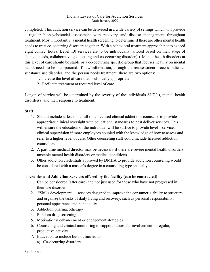completed. This addiction service can be delivered in a wide variety of settings which will provide a regular biopsychosocial assessment with recovery and disease management throughout treatment. Most importantly, a mental health screening to determine if there are other mental health needs to treat co-occurring disorders together. With a behavioral treatment approach not to exceed eight contact hours. Level 1.0 services are to be individually tailored based on their stage of change, needs, collaborative goal setting and co-occurring disorder(s). Mental health disorders at this level of care should be stable or a co-occurring specific group that focuses heavily on mental health needs to be incorporated. If new information, through the reassessment process indicates substance use disorder, and the person needs treatment, there are two options:

- 1. Increase the level of care that is clinically appropriate
- 2. Facilitate treatment at required level of care

Length of service will be determined by the severity of the individuals SUD(s), mental health disorder(s) and their response to treatment.

#### **Staff**

- 1. Should include at least one full time licensed clinical addictions counselor to provide appropriate clinical oversight with educational standards to best deliver services. This will ensure the education of the individual will be suffice to provide level 1 service, clinical supervision if more employees coupled with the knowledge of how to assess and refer to a higher level of care. Other counseling staff could include licensed addiction counselors.
- 2. A part time medical director may be necessary if there are severe mental health disorders, unstable mental health disorders or medical conditions.
- 3. Other addiction credentials approved by DMHA to provide addiction counseling would be considered with a master's degree in a counseling type specialty.

#### **Therapies and Addiction Services offered by the facility (can be contracted)**

- 1. Can be considered (after care) and not just used for those who have not progressed in their use disorder.
- 2. "Skills development" services designed to improve the consumer's ability to structure and organize the tasks of daily living and recovery, such as personal responsibility, personal appearance and punctuality.
- 3. Addiction pharmacotherapy
- 4. Random drug screening
- 5. Motivational enhancement or engagement strategies
- 6. Counseling and clinical monitoring to support successful involvement in regular, productive activity
- 7. Education to include but not limited to:
	- a) Co-occurring disorders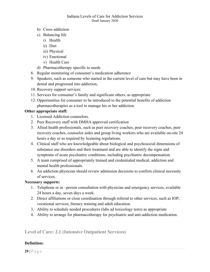- b) Cross addiction
- c) Balancing life
	- i) Health
	- ii) Diet
	- iii) Physical
	- iv) Emotional
	- v) Health Care
- d) Pharmacotherapy specific to needs
- 8. Regular monitoring of consumer's medication adherence
- 9. Speakers, such as someone who started in the current level of care but may have been in denial and progressed into addiction,
- 10. Recovery support services
- 11. Services for consumer's family and significant others, as appropriate
- 12. Opportunities for consumer to be introduced to the potential benefits of addiction pharmacotherapies as a tool to manage his or her addiction.

#### **Other appropriate staff:**

- 1. Licensed Addiction counselors.
- 2. Peer Recovery staff with DMHA approved certification
- 3. Allied health professionals, such as peer recovery coaches, peer recovery coaches, peer recovery coaches, counselor aides and group living workers who are available on-site 24 hours a day or as required by licensing regulations.
- 4. Clinical staff who are knowledgeable about biological and psychosocial dimensions of substance use disorders and their treatment and are able to identify the signs and symptoms of acute psychiatric conditions, including psychiatric decompensation.
- 5. A team comprised of appropriately trained and credentialed medical, addiction and mental health professionals.
- 6. An addiction physician should review admission decisions to confirm clinical necessity of services.

#### **Necessary supports:**

- 1. Telephone or in –person consultation with physician and emergency services, available 24 hours a day, seven days a week.
- 2. Direct affiliations or close coordination through referral to other services, such as IOP, vocational services, literacy training and adult education.
- 3. Ability to schedule needed procedures (labs ad toxicology tests) as appropriate
- 4. Ability to arrange for pharmacotherapy for psychiatric and anti-addiction medication.

**Level of Care: 2.1 (Intensive Outpatient Services)**

#### **Definition:**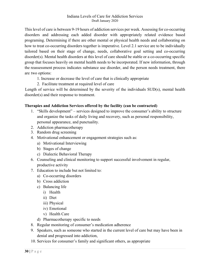This level of care is between 9-19 hours of addiction services per week. Assessing for co-occurring disorders and addressing each added disorder with appropriately related evidence based programing. Determining if there are other mental or physical health needs and collaborating on how to treat co-occurring disorders together is imperative. Level 2.1 service are to be individually tailored based on their stage of change, needs, collaborative goal setting and co-occurring disorder(s). Mental health disorders at this level of care should be stable or a co-occurring specific group that focuses heavily on mental health needs to be incorporated. If new information, through the reassessment process indicates substance use disorder, and the person needs treatment, there are two options:

- 1. Increase or decrease the level of care that is clinically appropriate
- 2. Facilitate treatment at required level of care

Length of service will be determined by the severity of the individuals SUD(s), mental health disorder(s) and their response to treatment.

#### **Therapies and Addiction Services offered by the facility (can be contracted)**

- 1. "Skills development" services designed to improve the consumer's ability to structure and organize the tasks of daily living and recovery, such as personal responsibility, personal appearance, and punctuality.
- 2. Addiction pharmacotherapy
- 3. Random drug screening
- 4. Motivational enhancement or engagement strategies such as:
	- a) Motivational Interviewing
	- b) Stages of change
	- c) Dialectic Behavioral Therapy
- 6. Counseling and clinical monitoring to support successful involvement in regular, productive activity
- 7. Education to include but not limited to:
	- a) Co-occurring disorders
	- b) Cross addiction
	- c) Balancing life
		- i) Health
		- ii) Diet
		- iii) Physical
		- iv) Emotional
		- v) Health Care
	- d) Pharmacotherapy specific to needs
- 8. Regular monitoring of consumer's medication adherence
- 9. Speakers, such as someone who started in the current level of care but may have been in denial and progressed into addiction,
- 10. Services for consumer's family and significant others, as appropriate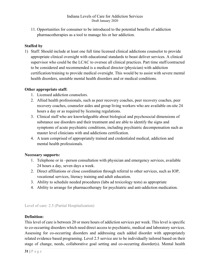11. Opportunities for consumer to be introduced to the potential benefits of addiction pharmacotherapies as a tool to manage his or her addiction.

#### **Staffed by**

1) Staff: Should include at least one full time licensed clinical addictions counselor to provide appropriate clinical oversight with educational standards to beast deliver services. A clinical supervisor who could be the LCAC to oversee all clinical practices. Part time staff/contracted to be considered and recommended is a medical director (physician) with addiction certification/training to provide medical oversight. This would be to assist with severe mental health disorders, unstable mental health disorders and or medical conditions.

#### **Other appropriate staff:**

- 1. Licensed addiction counselors.
- 2. Allied health professionals, such as peer recovery coaches, peer recovery coaches, peer recovery coaches, counselor aides and group living workers who are available on-site 24 hours a day or as required by licensing regulations.
- 3. Clinical staff who are knowledgeable about biological and psychosocial dimensions of substance use disorders and their treatment and are able to identify the signs and symptoms of acute psychiatric conditions, including psychiatric decompensation such as master level clinicians with and addictions certification.
- 4. A team comprised of appropriately trained and credentialed medical, addiction and mental health professionals.

#### **Necessary supports:**

- 1. Telephone or in –person consultation with physician and emergency services, available 24 hours a day, seven days a week.
- 2. Direct affiliations or close coordination through referral to other services, such as IOP, vocational services, literacy training and adult education.
- 3. Ability to schedule needed procedures (labs ad toxicology tests) as appropriate
- 4. Ability to arrange for pharmacotherapy for psychiatric and anti-addiction medication.

#### Level of care: 2.5 (Partial Hospitalization)

#### **Definition:**

This level of care is between 20 or more hours of addiction services per week. This level is specific to co-occurring disorders which need direct access to psychiatric, medical and laboratory services. Assessing for co-occurring disorders and addressing each added disorder with appropriately related evidence based programing. Level 2.5 service are to be individually tailored based on their stage of change, needs, collaborative goal setting and co-occurring disorder(s). Mental health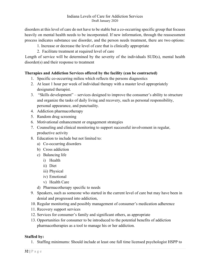disorders at this level of care do not have to be stable but a co-occurring specific group that focuses heavily on mental health needs to be incorporated. If new information, through the reassessment process indicates substance use disorder, and the person needs treatment, there are two options:

- 1. Increase or decrease the level of care that is clinically appropriate
- 2. Facilitate treatment at required level of care

Length of service will be determined by the severity of the individuals SUD(s), mental health disorder(s) and their response to treatment

#### **Therapies and Addiction Services offered by the facility (can be contracted)**

- 1. Specific co-occurring milieu which reflects the persons diagnostics
- 2. At least 1 hour per week of individual therapy with a master level appropriately designated therapist.
- 3. "Skills development" services designed to improve the consumer's ability to structure and organize the tasks of daily living and recovery, such as personal responsibility, personal appearance, and punctuality.
- 4. Addiction pharmacotherapy
- 5. Random drug screening
- 6. Motivational enhancement or engagement strategies
- 7. Counseling and clinical monitoring to support successful involvement in regular, productive activity
- 8. Education to include but not limited to:
	- a) Co-occurring disorders
	- b) Cross addiction
	- c) Balancing life
		- i) Health
		- ii) Diet
		- iii) Physical
		- iv) Emotional
		- v) Health Care
	- d) Pharmacotherapy specific to needs
- 9. Speakers, such as someone who started in the current level of care but may have been in denial and progressed into addiction,
- 10. Regular monitoring and possibly management of consumer's medication adherence
- 11. Recovery support services
- 12. Services for consumer's family and significant others, as appropriate
- 13. Opportunities for consumer to be introduced to the potential benefits of addiction pharmacotherapies as a tool to manage his or her addiction.

#### **Staffed by:**

1. Staffing minimums: Should include at least one full time licensed psychologist HSPP to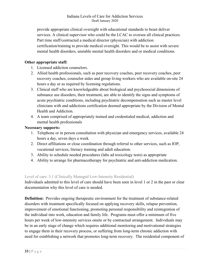provide appropriate clinical oversight with educational standards to beast deliver services. A clinical supervisor who could be the LCAC to oversee all clinical practices. Part time staff/contracted a medical director (physician) with addiction certification/training to provide medical oversight. This would be to assist with severe mental health disorders, unstable mental health disorders and or medical conditions.

#### **Other appropriate staff:**

- 1. Licensed addiction counselors.
- 2. Allied health professionals, such as peer recovery coaches, peer recovery coaches, peer recovery coaches, counselor aides and group living workers who are available on-site 24 hours a day or as required by licensing regulations.
- 3. Clinical staff who are knowledgeable about biological and psychosocial dimensions of substance use disorders, their treatment, are able to identify the signs and symptoms of acute psychiatric conditions, including psychiatric decompensation such as master level clinicians with and addictions certification deemed appropriate by the Division of Mental Health and Addiction.
- 4. A team comprised of appropriately trained and credentialed medical, addiction and mental health professionals

#### **Necessary supports:**

- 1. Telephone or in person consultation with physician and emergency services, available 24 hours a day, seven days a week.
- 2. Direct affiliations or close coordination through referral to other services, such as IOP, vocational services, literacy training and adult education.
- 3. Ability to schedule needed procedures (labs ad toxicology tests) as appropriate
- 4. Ability to arrange for pharmacotherapy for psychiatric and anti-addiction medication.

#### Level of care: 3.1 (Clinically Managed Low-Intensity Residential)

Individuals admitted to this level of care should have been seen in level 1 or 2 in the past or clear documentation why this level of care is needed.

**Definition:** Provides ongoing therapeutic environment for the treatment of substance-related disorders with treatment specifically focused on applying recovery skills, relapse prevention, improvement of emotional functioning, promoting personal responsibility and reintegration of the individual into work, education and family life. Programs must offer a minimum of five hours per week of low-intensity services onsite or by contractual arrangement. Individuals may be in an early stage of change which requires additional monitoring and motivational strategies to engage them in their recovery process, or suffering from long-term chronic addiction with need for establishing a network that promotes long-term recovery. The residential component of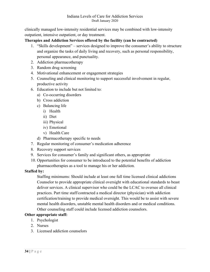clinically managed low-intensity residential services may be combined with low-intensity outpatient, intensive outpatient, or day treatment.

**Therapies and Addiction Services offered by the facility (can be contracted)**

- 1. "Skills development" services designed to improve the consumer's ability to structure and organize the tasks of daily living and recovery, such as personal responsibility, personal appearance, and punctuality.
- 2. Addiction pharmacotherapy
- 3. Random drug screening
- 4. Motivational enhancement or engagement strategies
- 5. Counseling and clinical monitoring to support successful involvement in regular, productive activity
- 6. Education to include but not limited to:
	- a) Co-occurring disorders
	- b) Cross addiction
	- c) Balancing life
		- i) Health
		- ii) Diet
		- iii) Physical
		- iv) Emotional
		- v) Health Care
	- d) Pharmacotherapy specific to needs
- 7. Regular monitoring of consumer's medication adherence
- 8. Recovery support services
- 9. Services for consumer's family and significant others, as appropriate
- 10. Opportunities for consumer to be introduced to the potential benefits of addiction pharmacotherapies as a tool to manage his or her addiction.

#### **Staffed by:**

Staffing minimums: Should include at least one full time licensed clinical addictions Counselor to provide appropriate clinical oversight with educational standards to beast deliver services. A clinical supervisor who could be the LCAC to oversee all clinical practices. Part time staff/contracted a medical director (physician) with addiction certification/training to provide medical oversight. This would be to assist with severe mental health disorders, unstable mental health disorders and or medical conditions. Other counseling staff could include licensed addiction counselors.

#### **Other appropriate staff:**

- 1. Psychologist
- 2. Nurses
- 3. Licensed addiction counselors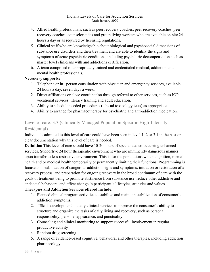- 4. Allied health professionals, such as peer recovery coaches, peer recovery coaches, peer recovery coaches, counselor aides and group living workers who are available on-site 24 hours a day or as required by licensing regulations.
- 5. Clinical staff who are knowledgeable about biological and psychosocial dimensions of substance use disorders and their treatment and are able to identify the signs and symptoms of acute psychiatric conditions, including psychiatric decompensation such as master level clinicians with and addictions certification.
- 6. A team comprised of appropriately trained and credentialed medical, addiction and mental health professionals.

#### **Necessary supports:**

- 1. Telephone or in –person consultation with physician and emergency services, available 24 hours a day, seven days a week.
- 2. Direct affiliations or close coordination through referral to other services, such as IOP, vocational services, literacy training and adult education.
- 3. Ability to schedule needed procedures (labs ad toxicology tests) as appropriate
- 4. Ability to arrange for pharmacotherapy for psychiatric and anti-addiction medication.

## Level of care: 3.3 (Clinically Managed Population Specific High-Intensity Residential)

Individuals admitted to this level of care could have been seen in level 1, 2 or 3.1 in the past or clear documentation why this level of care is needed.

**Definition** This level of care should have 10-20 hours of specialized co-occurring enhanced services. Supportive 24 hour therapeutic environment who are imminently dangerous manner upon transfer to less restrictive environment. This is for the populations which cognition, mental health and or medical health temporarily or permanently limiting their functions. Programming is focused on stabilization of dangerous addiction signs and symptoms, initiation or restoration of a recovery process, and preparation for ongoing recovery in the broad continuum of care with the goals of treatment being to promote abstinence from substance use, reduce other addictive and antisocial behaviors, and effect change in participant's lifestyles, attitudes and values.

#### **Therapies and Addiction Services offered include:**

- 1. Planned clinical program activities to stabilize and maintain stabilization of consumer's addiction symptoms.
- 2. "Skills development" daily clinical services to improve the consumer's ability to structure and organize the tasks of daily living and recovery, such as personal responsibility, personal appearance, and punctuality.
- 3. Counseling and clinical monitoring to support successful involvement in regular, productive activity
- 4. Random drug screening
- 5. A range of evidence-based cognitive, behavioral and other therapies, including addiction pharmacology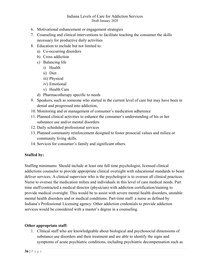- 6. Motivational enhancement or engagement strategies
- 7. Counseling and clinical interventions to facilitate teaching the consumer the skills necessary for productive daily activities
- 8. Education to include but not limited to:
	- a) Co-occurring disorders
	- b) Cross addiction
	- c) Balancing life
		- i) Health
		- ii) Diet
		- iii) Physical
		- iv) Emotional
		- v) Health Care
	- d) Pharmacotherapy specific to needs
- 9. Speakers, such as someone who started in the current level of care but may have been in denial and progressed into addiction,
- 10. Monitoring and or management of consumer's medication adherence
- 11. Planned clinical activities to enhance the consumer's understanding of his or her substance use and/or mental disorders
- 12. Daily scheduled professional services
- 13. Planned community reinforcement designed to foster prosocial values and milieu or community living skills.
- 14. Services for consumer's family and significant others.

#### **Staffed by:**

Staffing minimums: Should include at least one full time psychologist, licensed clinical addictions counselor to provide appropriate clinical oversight with educational standards to beast deliver services. A clinical supervisor who is the psychologist is to oversee all clinical practices. Nurse to oversee the medication milieu and individuals in this level of care medical needs. Part time staff/contracted a medical director (physician) with addiction certification/training to provide medical oversight. This would be to assist with severe mental health disorders, unstable mental health disorders and or medical conditions. Part-time staff: a nurse as defined by Indiana's Professional Licensing agency. Other addiction credentials to provide addiction services would be considered with a master's degree in a counseling.

#### **Other appropriate staff:**

1. Clinical staff who are knowledgeable about biological and psychosocial dimensions of substance use disorders and their treatment and are able to identify the signs and symptoms of acute psychiatric conditions, including psychiatric decompensation such as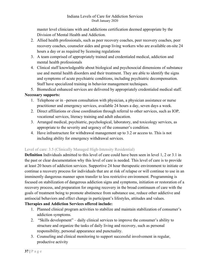master level clinicians with and addictions certification deemed appropriate by the Division of Mental Health and Addiction.

- 2. Allied health professionals, such as peer recovery coaches, peer recovery coaches, peer recovery coaches, counselor aides and group living workers who are available on-site 24 hours a day or as required by licensing regulations
- 3. A team comprised of appropriately trained and credentialed medical, addiction and mental health professionals
- 4. Clinical staff knowledgeable about biological and psychosocial dimensions of substance use and mental health disorders and their treatment. They are able to identify the signs and symptoms of acute psychiatric conditions, including psychiatric decompensation. Staff have specialized training in behavior management techniques.

5. Biomedical enhanced services are delivered by appropriately credentialed medical staff.

### **Necessary supports:**

- 1. Telephone or in –person consultation with physician, a physician assistance or nurse practitioner and emergency services, available 24 hours a day, seven days a week.
- 2. Direct affiliations or close coordination through referral to other services, such as IOP, vocational services, literacy training and adult education.
- 3. Arranged medical, psychiatric, psychological, laboratory, and toxicology services, as appropriate to the severity and urgency of the consumer's condition.
- 4. Have infrastructure for withdrawal management up to 3.2 or access to. This is not including ability for emergency withdrawal services.

# Level of care: 3.5 (Clinically Managed High-Intensity Residential)

**Definition** Individuals admitted to this level of care could have been seen in level 1, 2 or 3.1 in the past or clear documentation why this level of care is needed. This level of care is to provide at least 20 hours of addiction services. Supportive 24 hour therapeutic environment to initiate or continue a recovery process for individuals that are at risk of relapse or will continue to use in an imminently dangerous manner upon transfer to less restrictive environment. Programming is focused on stabilization of dangerous addiction signs and symptoms, initiation or restoration of a recovery process, and preparation for ongoing recovery in the broad continuum of care with the goals of treatment being to promote abstinence from substance use, reduce other addictive and antisocial behaviors and effect change in participant's lifestyles, attitudes and values.

# **Therapies and Addiction Services offered include:**

- 1. Planned clinical program activities to stabilize and maintain stabilization of consumer's addiction symptoms.
- 2. "Skills development" daily clinical services to improve the consumer's ability to structure and organize the tasks of daily living and recovery, such as personal responsibility, personal appearance and punctuality.
- 3. Counseling and clinical monitoring to support successful involvement in regular, productive activity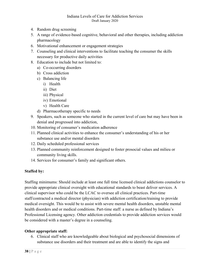- 4. Random drug screening
- 5. A range of evidence-based cognitive, behavioral and other therapies, including addiction pharmacology
- 6. Motivational enhancement or engagement strategies
- 7. Counseling and clinical interventions to facilitate teaching the consumer the skills necessary for productive daily activities
- 8. Education to include but not limited to:
	- a) Co-occurring disorders
	- b) Cross addiction
	- c) Balancing life
		- i) Health
		- ii) Diet
		- iii) Physical
		- iv) Emotional
		- v) Health Care
	- d) Pharmacotherapy specific to needs
- 9. Speakers, such as someone who started in the current level of care but may have been in denial and progressed into addiction,
- 10. Monitoring of consumer's medication adherence
- 11. Planned clinical activities to enhance the consumer's understanding of his or her substance use and/or mental disorders
- 12. Daily scheduled professional services
- 13. Planned community reinforcement designed to foster prosocial values and milieu or community living skills.
- 14. Services for consumer's family and significant others.

### **Staffed by:**

Staffing minimums: Should include at least one full time licensed clinical addictions counselor to provide appropriate clinical oversight with educational standards to beast deliver services. A clinical supervisor who could be the LCAC to oversee all clinical practices. Part-time staff/contracted a medical director (physician) with addiction certification/training to provide medical oversight. This would be to assist with severe mental health disorders, unstable mental health disorders and or medical conditions. Part-time staff: a nurse as defined by Indiana's Professional Licensing agency. Other addiction credentials to provide addiction services would be considered with a master's degree in a counseling.

### **Other appropriate staff:**

6. Clinical staff who are knowledgeable about biological and psychosocial dimensions of substance use disorders and their treatment and are able to identify the signs and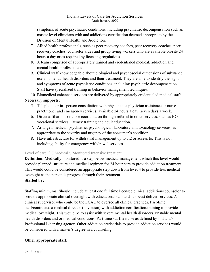symptoms of acute psychiatric conditions, including psychiatric decompensation such as master level clinicians with and addictions certification deemed appropriate by the Division of Mental Health and Addiction.

- 7. Allied health professionals, such as peer recovery coaches, peer recovery coaches, peer recovery coaches, counselor aides and group living workers who are available on-site 24 hours a day or as required by licensing regulations
- 8. A team comprised of appropriately trained and credentialed medical, addiction and mental health professionals
- 9. Clinical staff knowledgeable about biological and psychosocial dimensions of substance use and mental health disorders and their treatment. They are able to identify the signs and symptoms of acute psychiatric conditions, including psychiatric decompensation. Staff have specialized training in behavior management techniques.
- 10. Biomedical enhanced services are delivered by appropriately credentialed medical staff.

### **Necessary supports:**

- 5. Telephone or in –person consultation with physician, a physician assistance or nurse practitioner and emergency services, available 24 hours a day, seven days a week.
- 6. Direct affiliations or close coordination through referral to other services, such as IOP, vocational services, literacy training and adult education.
- 7. Arranged medical, psychiatric, psychological, laboratory and toxicology services, as appropriate to the severity and urgency of the consumer's condition.
- 8. Have infrastructure for withdrawal management up to 3.2 or access to. This is not including ability for emergency withdrawal services.

# Level of care: 3.7 Medically Monitored Intensive Inpatient

**Definition:** Medically monitored is a step below medical management which this level would provide planned, structure and medical regimen for 24 hour care to provide addiction treatment. This would could be considered an appropriate step down from level 4 to provide less medical oversight as the person is progress through their treatment.

# **Staffed by:**

Staffing minimums: Should include at least one full time licensed clinical addictions counselor to provide appropriate clinical oversight with educational standards to beast deliver services. A clinical supervisor who could be the LCAC to oversee all clinical practices. Part-time staff/contracted a medical director (physician) with addiction certification/training to provide medical oversight. This would be to assist with severe mental health disorders, unstable mental health disorders and or medical conditions. Part-time staff: a nurse as defined by Indiana's Professional Licensing agency. Other addiction credentials to provide addiction services would be considered with a master's degree in a counseling.

# **Other appropriate staff:**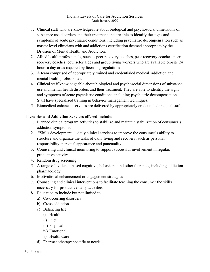- 1. Clinical staff who are knowledgeable about biological and psychosocial dimensions of substance use disorders and their treatment and are able to identify the signs and symptoms of acute psychiatric conditions, including psychiatric decompensation such as master level clinicians with and addictions certification deemed appropriate by the Division of Mental Health and Addiction.
- 2. Allied health professionals, such as peer recovery coaches, peer recovery coaches, peer recovery coaches, counselor aides and group living workers who are available on-site 24 hours a day or as required by licensing regulations
- 3. A team comprised of appropriately trained and credentialed medical, addiction and mental health professionals
- 4. Clinical staff knowledgeable about biological and psychosocial dimensions of substance use and mental health disorders and their treatment. They are able to identify the signs and symptoms of acute psychiatric conditions, including psychiatric decompensation. Staff have specialized training in behavior management techniques.
- 5. Biomedical enhanced services are delivered by appropriately credentialed medical staff.

### **Therapies and Addiction Services offered include:**

- 1. Planned clinical program activities to stabilize and maintain stabilization of consumer's addiction symptoms.
- 2. "Skills development" daily clinical services to improve the consumer's ability to structure and organize the tasks of daily living and recovery, such as personal responsibility, personal appearance and punctuality.
- 3. Counseling and clinical monitoring to support successful involvement in regular, productive activity
- 4. Random drug screening
- 5. A range of evidence-based cognitive, behavioral and other therapies, including addiction pharmacology
- 6. Motivational enhancement or engagement strategies
- 7. Counseling and clinical interventions to facilitate teaching the consumer the skills necessary for productive daily activities
- 8. Education to include but not limited to:
	- a) Co-occurring disorders
	- b) Cross addiction
	- c) Balancing life
		- i) Health
		- ii) Diet
		- iii) Physical
		- iv) Emotional
		- v) Health Care
	- d) Pharmacotherapy specific to needs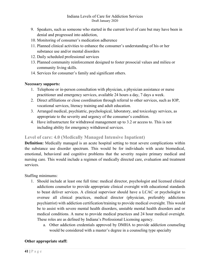- 9. Speakers, such as someone who started in the current level of care but may have been in denial and progressed into addiction,
- 10. Monitoring of consumer's medication adherence
- 11. Planned clinical activities to enhance the consumer's understanding of his or her substance use and/or mental disorders
- 12. Daily scheduled professional services
- 13. Planned community reinforcement designed to foster prosocial values and milieu or community living skills.
- 14. Services for consumer's family and significant others.

### **Necessary supports:**

- 1. Telephone or in-person consultation with physician, a physician assistance or nurse practitioner and emergency services, available 24 hours a day, 7 days a week.
- 2. Direct affiliations or close coordination through referral to other services, such as IOP, vocational services, literacy training and adult education.
- 3. Arranged medical, psychiatric, psychological, laboratory, and toxicology services, as appropriate to the severity and urgency of the consumer's condition.
- 4. Have infrastructure for withdrawal management up to 3.2 or access to. This is not including ability for emergency withdrawal services.

# **Level of care: 4.0 (Medically Managed Intensive Inpatient)**

**Definition:** Medically managed is an acute hospital setting to treat severe complications within the substance use disorder spectrum. This would be for individuals with acute biomedical, emotional, behavioral and cognitive problems that the severity require primary medical and nursing care. This would include a regimen of medically directed care, evaluation and treatment services.

Staffing minimums:

- 1. Should include at least one full time: medical director, psychologist and licensed clinical addictions counselor to provide appropriate clinical oversight with educational standards to beast deliver services. A clinical supervisor should have a LCAC or psychologist to oversee all clinical practices, medical director (physician, preferably addictions psychiatrist) with addiction certification/training to provide medical oversight. This would be to assist with severe mental health disorders, unstable mental health disorders and or medical conditions. A nurse to provide medical practices and 24 hour medical oversight. These roles are as defined by Indiana's Professional Licensing agency.
	- a. Other addiction credentials approved by DMHA to provide addiction counseling would be considered with a master's degree in a counseling type specialty

# **Other appropriate staff:**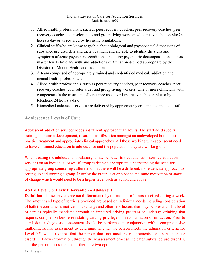- 1. Allied health professionals, such as peer recovery coaches, peer recovery coaches, peer recovery coaches, counselor aides and group living workers who are available on-site 24 hours a day or as required by licensing regulations.
- 2. Clinical staff who are knowledgeable about biological and psychosocial dimensions of substance use disorders and their treatment and are able to identify the signs and symptoms of acute psychiatric conditions, including psychiatric decompensation such as master level clinicians with and addictions certification deemed appropriate by the Division of Mental Health and Addiction.
- **3.** A team comprised of appropriately trained and credentialed medical, addiction and mental health professionals
- 4. Allied health professionals, such as peer recovery coaches, peer recovery coaches, peer recovery coaches, counselor aides and group living workers. One or more clinicians with competence in the treatment of substance use disorders are available on-site or by telephone 24 hours a day.
- 5. Biomedical enhanced services are delivered by appropriately credentialed medical staff.

# **Adolescence Levels of Care**

Adolescent addiction services needs a different approach than adults. The staff need specific training on human development, disorder manifestation amongst an undeveloped brain, best practice treatment and appropriate clinical approaches. All those working with adolescent need to have continued education to adolescence and the populations they are working with.

When treating the adolescent population, it may be better to treat at a less intensive addiction services on an individual bases. If group is deemed appropriate, understanding the need for appropriate group counseling culture and that there will be a different, more delicate approach to setting up and running a group. Insuring the group is at or close to the same motivation or stage of change which would need to be a higher level such as action and above.

### **ASAM Level 0.5: Early Intervention – Adolescent**

**Definition:** These services are not differentiated by the number of hours received during a week. The amount and type of services provided are based on individual needs including consideration of both the consumer's motivation to change and other risk factors that may be present. This level of care is typically mandated through an impaired driving program or underage drinking that requires completion before reinstating driving privileges or reconciliation of infraction. Prior to admission, a diagnostic assessment should be performed in conjunction with a comprehensive multidimensional assessment to determine whether the person meets the admission criteria for Level 0.5, which requires that the person does not meet the requirements for a substance use disorder. If new information, through the reassessment process indicates substance use disorder, and the person needs treatment, there are two options: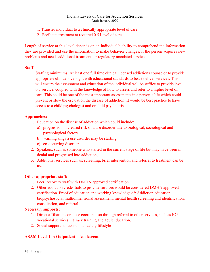- 1. Transfer individual to a clinically appropriate level of care
- 2. Facilitate treatment at required 0.5 Level of care.

Length of service at this level depends on an individual's ability to comprehend the information they are provided and use the information to make behavior changes, if the person acquires new problems and needs additional treatment, or regulatory mandated service.

### **Staff**

Staffing minimums: At least one full time clinical licensed addictions counselor to provide appropriate clinical oversight with educational standards to beast deliver services. This will ensure the assessment and education of the individual will be suffice to provide level 0.5 service, coupled with the knowledge of how to assess and refer to a higher level of care. This could be one of the most important assessments in a person's life which could prevent or slow the escalation the disease of addiction. It would be best practice to have access to a child psychologist and or child psychiatrist.

### **Approaches:**

- 1. Education on the disease of addiction which could include:
	- a) progression, increased risk of a use disorder due to biological, sociological and psychological factors,
	- b) warning sings a use disorder may be starting,
	- c) co-occurring disorders
- 2. Speakers, such as someone who started in the current stage of life but may have been in denial and progressed into addiction,
- 3. Additional services such as: screening, brief intervention and referral to treatment can be used

### **Other appropriate staff:**

- 1. Peer Recovery staff with DMHA approved certification
- 2. Other addiction credentials to provide services would be considered DMHA approved certification. Proof of education and working knowledge of: Addiction education, biopsychosocial multidimensional assessment, mental health screening and identification, consultation, and referral.

### **Necessary supports:**

- 1. Direct affiliations or close coordination through referral to other services, such as IOP, vocational services, literacy training and adult education.
- 2. Social supports to assist in a healthy lifestyle

# **ASAM Level 1.0: Outpatient – Adolescent**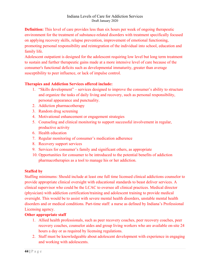**Definition:** This level of care provides less than six hours per week of ongoing therapeutic environment for the treatment of substance-related disorders with treatment specifically focused on applying recovery skills, relapse prevention, improvement of emotional functioning, promoting personal responsibility and reintegration of the individual into school, education and family life.

Adolescent outpatient is designed for the adolescent requiring low level but long term treatment to sustain and further therapeutic gains made at a more intensive level of care because of the consumer's functional deficits such as developmental immaturity, greater than average susceptibility to peer influence, or lack of impulse control.

# **Therapies and Addiction Services offered include:**

- 1. "Skills development" services designed to improve the consumer's ability to structure and organize the tasks of daily living and recovery, such as personal responsibility, personal appearance and punctuality.
- 2. Addiction pharmacotherapy
- 3. Random drug screening
- 4. Motivational enhancement or engagement strategies
- 5. Counseling and clinical monitoring to support successful involvement in regular, productive activity
- 6. Health education
- 7. Regular monitoring of consumer's medication adherence
- 8. Recovery support services
- 9. Services for consumer's family and significant others, as appropriate
- 10. Opportunities for consumer to be introduced to the potential benefits of addiction pharmacotherapies as a tool to manage his or her addiction.

# **Staffed by**

Staffing minimums: Should include at least one full time licensed clinical addictions counselor to provide appropriate clinical oversight with educational standards to beast deliver services. A clinical supervisor who could be the LCAC to oversee all clinical practices. Medical director (physician) with addiction certification/training and adolescent training to provide medical oversight. This would be to assist with severe mental health disorders, unstable mental health disorders and or medical conditions. Part-time staff: a nurse as defined by Indiana's Professional Licensing agency.

# **Other appropriate staff**

- 1. Allied health professionals, such as peer recovery coaches, peer recovery coaches, peer recovery coaches, counselor aides and group living workers who are available on-site 24 hours a day or as required by licensing regulations.
- 2. Staff must be knowledgeable about adolescent development with experience in engaging and working with adolescents.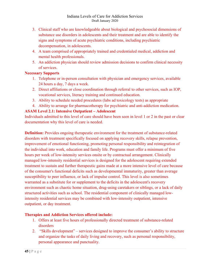- 3. Clinical staff who are knowledgeable about biological and psychosocial dimensions of substance use disorders in adolescents and their treatment and are able to identify the signs and symptoms of acute psychiatric conditions, including psychiatric decompensation, in adolescents.
- 4. A team comprised of appropriately trained and credentialed medical, addiction and mental health professionals.
- 5. An addiction physician should review admission decisions to confirm clinical necessity of services.

# **Necessary Supports**

- 1. Telephone or in-person consultation with physician and emergency services, available 24 hours a day, 7 days a week.
- 2. Direct affiliations or close coordination through referral to other services, such as IOP, vocational services, literacy training and continued education.
- 3. Ability to schedule needed procedures (labs ad toxicology tests) as appropriate
- 4. Ability to arrange for pharmacotherapy for psychiatric and anti-addiction medication.

# **ASAM Level 2.1: Intensive Outpatient – Adolescent**

Individuals admitted to this level of care should have been seen in level 1 or 2 in the past or clear documentation why this level of care is needed.

**Definition:** Provides ongoing therapeutic environment for the treatment of substance-related disorders with treatment specifically focused on applying recovery skills, relapse prevention, improvement of emotional functioning, promoting personal responsibility and reintegration of the individual into work, education and family life. Programs must offer a minimum of five hours per week of low-intensity services onsite or by contractual arrangement. Clinically managed low-intensity residential services is designed for the adolescent requiring extended treatment to sustain and further therapeutic gains made at a more intensive level of care because of the consumer's functional deficits such as developmental immaturity, greater than average susceptibility to peer influence, or lack of impulse control. This level is also sometimes warranted as a substitute for or supplement to the deficits in the adolescent's recovery environment such as chaotic home situation, drug-using caretakers or siblings, or a lack of daily structured activities such as school. The residential component of clinically managed lowintensity residential services may be combined with low-intensity outpatient, intensive outpatient, or day treatment.

# **Therapies and Addiction Services offered include:**

- 1. Offers at least five hours of professionally directed treatment of substance-related disorders
- 2. "Skills development" services designed to improve the consumer's ability to structure and organize the tasks of daily living and recovery, such as personal responsibility, personal appearance and punctuality.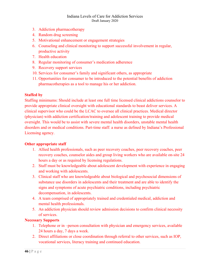- 3. Addiction pharmacotherapy
- 4. Random drug screening
- 5. Motivational enhancement or engagement strategies
- 6. Counseling and clinical monitoring to support successful involvement in regular, productive activity
- 7. Health education
- 8. Regular monitoring of consumer's medication adherence
- 9. Recovery support services
- 10. Services for consumer's family and significant others, as appropriate
- 11. Opportunities for consumer to be introduced to the potential benefits of addiction pharmacotherapies as a tool to manage his or her addiction.

### **Staffed by**

Staffing minimums: Should include at least one full time licensed clinical addictions counselor to provide appropriate clinical oversight with educational standards to beast deliver services. A clinical supervisor who could be the LCAC to oversee all clinical practices. Medical director (physician) with addiction certification/training and adolescent training to provide medical oversight. This would be to assist with severe mental health disorders, unstable mental health disorders and or medical conditions. Part-time staff: a nurse as defined by Indiana's Professional Licensing agency.

### **Other appropriate staff**

- 1. Allied health professionals, such as peer recovery coaches, peer recovery coaches, peer recovery coaches, counselor aides and group living workers who are available on-site 24 hours a day or as required by licensing regulations.
- 2. Staff must be knowledgeable about adolescent development with experience in engaging and working with adolescents.
- 3. Clinical staff who are knowledgeable about biological and psychosocial dimensions of substance use disorders in adolescents and their treatment and are able to identify the signs and symptoms of acute psychiatric conditions, including psychiatric decompensation, in adolescents.
- 4. A team comprised of appropriately trained and credentialed medical, addiction and mental health professionals.
- 5. An addiction physician should review admission decisions to confirm clinical necessity of services.

# **Necessary Supports**

- 1. Telephone or in –person consultation with physician and emergency services, available 24 hours a day, 7 days a week.
- 2. Direct affiliations or close coordination through referral to other services, such as IOP, vocational services, literacy training and continued education.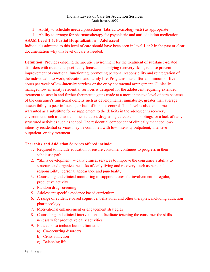- 3. Ability to schedule needed procedures (labs ad toxicology tests) as appropriate
- 4. Ability to arrange for pharmacotherapy for psychiatric and anti-addiction medication.

# **ASAM Level 2.5: Partial Hospitalization – Adolescent**

Individuals admitted to this level of care should have been seen in level 1 or 2 in the past or clear documentation why this level of care is needed.

**Definition:** Provides ongoing therapeutic environment for the treatment of substance-related disorders with treatment specifically focused on applying recovery skills, relapse prevention, improvement of emotional functioning, promoting personal responsibility and reintegration of the individual into work, education and family life. Programs must offer a minimum of five hours per week of low-intensity services onsite or by contractual arrangement. Clinically managed low-intensity residential services is designed for the adolescent requiring extended treatment to sustain and further therapeutic gains made at a more intensive level of care because of the consumer's functional deficits such as developmental immaturity, greater than average susceptibility to peer influence, or lack of impulse control. This level is also sometimes warranted as a substitute for or supplement to the deficits in the adolescent's recovery environment such as chaotic home situation, drug-using caretakers or siblings, or a lack of daily structured activities such as school. The residential component of clinically managed lowintensity residential services may be combined with low-intensity outpatient, intensive outpatient, or day treatment.

# **Therapies and Addiction Services offered include:**

- 1. Required to include education or ensure consumer continues to progress in their scholastic path.
- 2. "Skills development" daily clinical services to improve the consumer's ability to structure and organize the tasks of daily living and recovery, such as personal responsibility, personal appearance and punctuality.
- 3. Counseling and clinical monitoring to support successful involvement in regular, productive activity
- 4. Random drug screening
- 5. Adolescent specific evidence based curriculum
- 6. A range of evidence-based cognitive, behavioral and other therapies, including addiction pharmacology
- 7. Motivational enhancement or engagement strategies
- 8. Counseling and clinical interventions to facilitate teaching the consumer the skills necessary for productive daily activities
- 9. Education to include but not limited to:
	- a) Co-occurring disorders
	- b) Cross addiction
	- c) Balancing life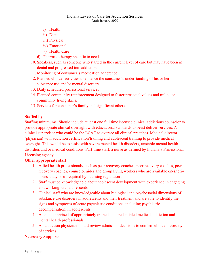- i) Health
- ii) Diet
- iii) Physical
- iv) Emotional
- v) Health Care
- d) Pharmacotherapy specific to needs
- 10. Speakers, such as someone who started in the current level of care but may have been in denial and progressed into addiction,
- 11. Monitoring of consumer's medication adherence
- 12. Planned clinical activities to enhance the consumer's understanding of his or her substance use and/or mental disorders
- 13. Daily scheduled professional services
- 14. Planned community reinforcement designed to foster prosocial values and milieu or community living skills.
- 15. Services for consumer's family and significant others.

### **Staffed by**

Staffing minimums: Should include at least one full time licensed clinical addictions counselor to provide appropriate clinical oversight with educational standards to beast deliver services. A clinical supervisor who could be the LCAC to oversee all clinical practices. Medical director (physician) with addiction certification/training and adolescent training to provide medical oversight. This would be to assist with severe mental health disorders, unstable mental health disorders and or medical conditions. Part-time staff: a nurse as defined by Indiana's Professional Licensing agency.

### **Other appropriate staff**

- 1. Allied health professionals, such as peer recovery coaches, peer recovery coaches, peer recovery coaches, counselor aides and group living workers who are available on-site 24 hours a day or as required by licensing regulations.
- 2. Staff must be knowledgeable about adolescent development with experience in engaging and working with adolescents.
- 3. Clinical staff who are knowledgeable about biological and psychosocial dimensions of substance use disorders in adolescents and their treatment and are able to identify the signs and symptoms of acute psychiatric conditions, including psychiatric decompensation, in adolescents.
- 4. A team comprised of appropriately trained and credentialed medical, addiction and mental health professionals.
- 5. An addiction physician should review admission decisions to confirm clinical necessity of services.

# **Necessary Supports**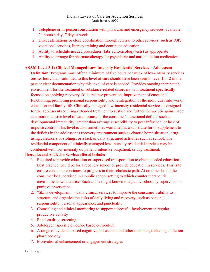- 1. Telephone or in-person consultation with physician and emergency services, available 24 hours a day, 7 days a week.
- 2. Direct affiliations or close coordination through referral to other services, such as IOP, vocational services, literacy training and continued education.
- 3. Ability to schedule needed procedures (labs ad toxicology tests) as appropriate
- 4. Ability to arrange for pharmacotherapy for psychiatric and anti-addiction medication.

### **ASAM Level 3.1: Clinical Managed Low-Intensity Residential Services – Adolescent**

**Definition:** Programs must offer a minimum of five hours per week of low-intensity services onsite. Individuals admitted to this level of care should have been seen in level 1 or 2 in the past or clear documentation why this level of care is needed. Provides ongoing therapeutic environment for the treatment of substance-related disorders with treatment specifically focused on applying recovery skills, relapse prevention, improvement of emotional functioning, promoting personal responsibility and reintegration of the individual into work, education and family life. Clinically managed low-intensity residential services is designed for the adolescent requiring extended treatment to sustain and further therapeutic gains made at a more intensive level of care because of the consumer's functional deficits such as developmental immaturity, greater than average susceptibility to peer influence, or lack of impulse control. This level is also sometimes warranted as a substitute for or supplement to the deficits in the adolescent's recovery environment such as chaotic home situation, drugusing caretakers or siblings, or a lack of daily structured activities such as school. The residential component of clinically managed low-intensity residential services may be combined with low-intensity outpatient, intensive outpatient, or day treatment.

### **Therapies and Addiction Services offered include:**

- 1. Required to provide education or supervised transportation to obtain needed education. Best practice would be for a recovery school or provide education in services. This is to ensure consumer continues to progress in their scholastic path. At no time should the consumer be supervised in a public school setting to which counter therapeutic environments would arise. Such as making it known to a public school by supervision or punitive observation.
- 2. "Skills development" daily clinical services to improve the consumer's ability to structure and organize the tasks of daily living and recovery, such as personal responsibility, personal appearance, and punctuality.
- 3. Counseling and clinical monitoring to support successful involvement in regular, productive activity
- 4. Random drug screening
- 5. Adolescent specific evidence based curriculum
- 6. A range of evidence-based cognitive, behavioral and other therapies, including addiction pharmacology
- 7. Motivational enhancement or engagement strategies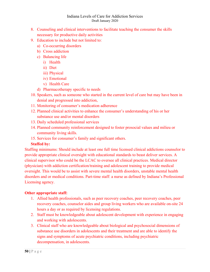- 8. Counseling and clinical interventions to facilitate teaching the consumer the skills necessary for productive daily activities
- 9. Education to include but not limited to:
	- a) Co-occurring disorders
	- b) Cross addiction
	- c) Balancing life
		- i) Health
		- ii) Diet
		- iii) Physical
		- iv) Emotional
		- v) Health Care
	- d) Pharmacotherapy specific to needs
- 10. Speakers, such as someone who started in the current level of care but may have been in denial and progressed into addiction,
- 11. Monitoring of consumer's medication adherence
- 12. Planned clinical activities to enhance the consumer's understanding of his or her substance use and/or mental disorders
- 13. Daily scheduled professional services
- 14. Planned community reinforcement designed to foster prosocial values and milieu or community living skills.
- 15. Services for consumer's family and significant others.

### **Staffed by:**

Staffing minimums: Should include at least one full time licensed clinical addictions counselor to provide appropriate clinical oversight with educational standards to beast deliver services. A clinical supervisor who could be the LCAC to oversee all clinical practices. Medical director (physician) with addiction certification/training and adolescent training to provide medical oversight. This would be to assist with severe mental health disorders, unstable mental health disorders and or medical conditions. Part-time staff: a nurse as defined by Indiana's Professional Licensing agency.

### **Other appropriate staff:**

- 1. Allied health professionals, such as peer recovery coaches, peer recovery coaches, peer recovery coaches, counselor aides and group living workers who are available on-site 24 hours a day or as required by licensing regulations.
- 2. Staff must be knowledgeable about adolescent development with experience in engaging and working with adolescents.
- 3. Clinical staff who are knowledgeable about biological and psychosocial dimensions of substance use disorders in adolescents and their treatment and are able to identify the signs and symptoms of acute psychiatric conditions, including psychiatric decompensation, in adolescents.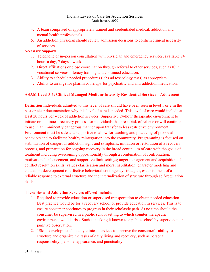- 4. A team comprised of appropriately trained and credentialed medical, addiction and mental health professionals.
- 5. An addiction physician should review admission decisions to confirm clinical necessity of services.

### **Necessary Supports**

- 1. Telephone or in–person consultation with physician and emergency services, available 24 hours a day, 7 days a week.
- 2. Direct affiliations or close coordination through referral to other services, such as IOP, vocational services, literacy training and continued education.
- 3. Ability to schedule needed procedures (labs ad toxicology tests) as appropriate
- 4. Ability to arrange for pharmacotherapy for psychiatric and anti-addiction medication.

### **ASAM Level 3.5: Clinical Managed Medium-Intensity Residential Services – Adolescent**

**Definition** Individuals admitted to this level of care should have been seen in level 1 or 2 in the past or clear documentation why this level of care is needed. This level of care would include at least 20 hours per week of addiction services. Supportive 24-hour therapeutic environment to initiate or continue a recovery process for individuals that are at risk of relapse or will continue to use in an imminently dangerous manner upon transfer to less restrictive environment. Environment must be safe and supportive to allow for teaching and practicing of prosocial behaviors and to facilitate healthy reintegration into the community. Programming is focused on stabilization of dangerous addiction signs and symptoms, initiation or restoration of a recovery process, and preparation for ongoing recovery in the broad continuum of care with the goals of treatment including overcoming oppositionality through a combination of confrontation, motivational enhancement, and supportive limit settings; anger management and acquisition of conflict resolution skills; values clarification and moral habilitation; character modeling and education; development of effective behavioral contingency strategies, establishment of a reliable response to external structure and the internalization of structure through self-regulation skills.

### **Therapies and Addiction Services offered include:**

- 1. Required to provide education or supervised transportation to obtain needed education. Best practice would be for a recovery school or provide education in services. This is to ensure consumer continues to progress in their scholastic path. At no time should the consumer be supervised in a public school setting to which counter therapeutic environments would arise. Such as making it known to a public school by supervision or punitive observation.
- 2. "Skills development" daily clinical services to improve the consumer's ability to structure and organize the tasks of daily living and recovery, such as personal responsibility, personal appearance, and punctuality.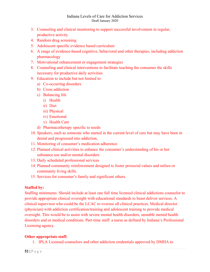- 3. Counseling and clinical monitoring to support successful involvement in regular, productive activity
- 4. Random drug screening
- 5. Adolescent specific evidence based curriculum
- 6. A range of evidence-based cognitive, behavioral and other therapies, including addiction pharmacology
- 7. Motivational enhancement or engagement strategies
- 8. Counseling and clinical interventions to facilitate teaching the consumer the skills necessary for productive daily activities
- 9. Education to include but not limited to:
	- a) Co-occurring disorders
	- b) Cross addiction
	- c) Balancing life
		- i) Health
		- ii) Diet
		- iii) Physical
		- iv) Emotional
		- v) Health Care
	- d) Pharmacotherapy specific to needs
- 10. Speakers, such as someone who started in the current level of care but may have been in denial and progressed into addiction,
- 11. Monitoring of consumer's medication adherence
- 12. Planned clinical activities to enhance the consumer's understanding of his or her substance use and/or mental disorders
- 13. Daily scheduled professional services
- 14. Planned community reinforcement designed to foster prosocial values and milieu or community living skills.
- 15. Services for consumer's family and significant others.

### **Staffed by:**

Staffing minimums: Should include at least one full time licensed clinical addictions counselor to provide appropriate clinical oversight with educational standards to beast deliver services. A clinical supervisor who could be the LCAC to oversee all clinical practices. Medical director (physician) with addiction certification/training and adolescent training to provide medical oversight. This would be to assist with severe mental health disorders, unstable mental health disorders and or medical conditions. Part-time staff: a nurse as defined by Indiana's Professional Licensing agency.

### **Other appropriate staff:**

1. IPLA Licensed counselors and other addiction credentials approved by DMHA to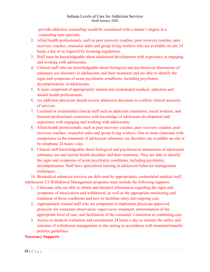provide addiction counseling would be considered with a master's degree in a counseling type specialty.

- 2. Allied health professionals, such as peer recovery coaches, peer recovery coaches, peer recovery coaches, counselor aides and group living workers who are available on-site 24 hours a day or as required by licensing regulations.
- 3. Staff must be knowledgeable about adolescent development with experience in engaging and working with adolescents.
- 4. Clinical staff who are knowledgeable about biological and psychosocial dimensions of substance use disorders in adolescents and their treatment and are able to identify the signs and symptoms of acute psychiatric conditions, including psychiatric decompensation, in adolescents.
- 5. A team comprised of appropriately trained and credentialed medical, addiction and mental health professionals.
- 6. An addiction physician should review admission decisions to confirm clinical necessity of services.
- 7. Licensed or credentialed clinical staff such as addiction counselors, social workers, and licensed professional counselors with knowledge of adolescent development and experience with engaging and working with adolescents.
- 8. Allied health professionals, such as peer recovery coaches, peer recovery coaches, peer recovery coaches, counselor aides and group living workers. One or more clinicians with competence in the treatment of adolescent substance use disorders are available on-site or by telephone 24 hours a day.
- 9. Clinical staff knowledgeable about biological and psychosocial dimensions of adolescent substance use and mental health disorders and their treatment. They are able to identify the signs and symptoms of acute psychiatric conditions, including psychiatric decompensation. Staff have specialized training in adolescent behavior management techniques.

10. Biomedical enhanced services are delivered by appropriately credentialed medical staff. Adolescent 3.5 Withdrawal Management programs must include the following supports:

- 1. Clinicians who are able to obtain and interpret information regarding the signs and symptoms of intoxication and withdrawal, as well as the appropriate monitoring and treatment of those conditions and how to facilitate entry into ongoing care.
- 2. Appropriately trained staff who are competent to implement physician approved protocols for consumer observation, supervision, treatment, determination of the appropriate level of care, and facilitation of the consumer's transition to continuing care.
- 3. Access to medical evaluation and consultation 24 hours a day to monitor the safety and outcome of withdrawal management in this setting in accordance with treatment/transfer practice guidelines.

# **Necessary Supports**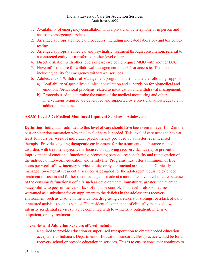- 1. Availability of emergency consultation with a physician by telephone or in person and access to emergency services
- 2. Arranged appropriate medical procedures, including indicated laboratory and toxicology testing.
- 3. Arranged appropriate medical and psychiatric treatment through consultation, referral to a contracted entity, or transfer to another level of care.
- 4. Direct affiliation with other levels of care (we could require MOU with another LOC).
- 5. Have infrastructure for withdrawal management up to 3.1 or access to. This is not including ability for emergency withdrawal services.
- 6. Adolescent 3.5 Withdrawal Management programs must include the following supports:
	- a) Availability of specialized clinical consultation and supervision for biomedical and emotional/behavioral problems related to intoxication and withdrawal management.
	- b) Protocols used to determine the nature of the medical monitoring and other interventions required are developed and supported by a physician knowledgeable in addiction medicine.

### **ASAM Level 3.7: Medical Monitored Inpatient Services – Adolescent**

**Definition:** Individuals admitted to this level of care should have been seen in level 1 or 2 in the past or clear documentation why this level of care is needed. This level of care needs to have at least 10 hours per week of individual psychotherapy provided by a master level licensed therapist. Provides ongoing therapeutic environment for the treatment of substance-related disorders with treatment specifically focused on applying recovery skills, relapse prevention, improvement of emotional functioning, promoting personal responsibility and reintegration of the individual into work, education and family life. Programs must offer a minimum of five hours per week of low-intensity services onsite or by contractual arrangement. Clinically managed low-intensity residential services is designed for the adolescent requiring extended treatment to sustain and further therapeutic gains made at a more intensive level of care because of the consumer's functional deficits such as developmental immaturity, greater than average susceptibility to peer influence, or lack of impulse control. This level is also sometimes warranted as a substitute for or supplement to the deficits in the adolescent's recovery environment such as chaotic home situation, drug-using caretakers or siblings, or a lack of daily structured activities such as school. The residential component of clinically managed lowintensity residential services may be combined with low-intensity outpatient, intensive outpatient, or day treatment.

### **Therapies and Addiction Services offered include:**

1. Required to provide education or supervised transportation to obtain needed education acceptable to Indiana's Department of Education standards. Best practice would be for a recovery school or provide education in services. This is to ensure consumer continues to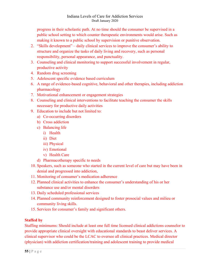progress in their scholastic path. At no time should the consumer be supervised in a public school setting to which counter therapeutic environments would arise. Such as making it known to a public school by supervision or punitive observation.

- 2. "Skills development" daily clinical services to improve the consumer's ability to structure and organize the tasks of daily living and recovery, such as personal responsibility, personal appearance, and punctuality.
- 3. Counseling and clinical monitoring to support successful involvement in regular, productive activity
- 4. Random drug screening
- 5. Adolescent specific evidence based curriculum
- 6. A range of evidence-based cognitive, behavioral and other therapies, including addiction pharmacology
- 7. Motivational enhancement or engagement strategies
- 8. Counseling and clinical interventions to facilitate teaching the consumer the skills necessary for productive daily activities
- 9. Education to include but not limited to:
	- a) Co-occurring disorders
	- b) Cross addiction
	- c) Balancing life
		- i) Health
		- ii) Diet
		- iii) Physical
		- iv) Emotional
		- v) Health Care
	- d) Pharmacotherapy specific to needs
- 10. Speakers, such as someone who started in the current level of care but may have been in denial and progressed into addiction,
- 11. Monitoring of consumer's medication adherence
- 12. Planned clinical activities to enhance the consumer's understanding of his or her substance use and/or mental disorders
- 13. Daily scheduled professional services
- 14. Planned community reinforcement designed to foster prosocial values and milieu or community living skills.
- 15. Services for consumer's family and significant others.

# **Staffed by**

Staffing minimums: Should include at least one full time licensed clinical addictions counselor to provide appropriate clinical oversight with educational standards to beast deliver services. A clinical supervisor who could be the LCAC to oversee all clinical practices. Medical director (physician) with addiction certification/training and adolescent training to provide medical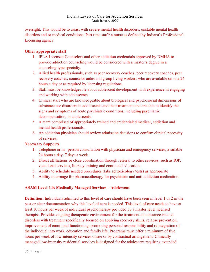oversight. This would be to assist with severe mental health disorders, unstable mental health disorders and or medical conditions. Part time staff: a nurse as defined by Indiana's Professional Licensing agency.

### **Other appropriate staff**

- 1. IPLA Licensed Counselors and other addiction credentials approved by DMHA to provide addiction counseling would be considered with a master's degree in a counseling type specialty.
- 2. Allied health professionals, such as peer recovery coaches, peer recovery coaches, peer recovery coaches, counselor aides and group living workers who are available on-site 24 hours a day or as required by licensing regulations.
- 3. Staff must be knowledgeable about adolescent development with experience in engaging and working with adolescents.
- 4. Clinical staff who are knowledgeable about biological and psychosocial dimensions of substance use disorders in adolescents and their treatment and are able to identify the signs and symptoms of acute psychiatric conditions, including psychiatric decompensation, in adolescents.
- 5. A team comprised of appropriately trained and credentialed medical, addiction and mental health professionals.
- 6. An addiction physician should review admission decisions to confirm clinical necessity of services.

### **Necessary Supports**

- 1. Telephone or in –person consultation with physician and emergency services, available 24 hours a day, 7 days a week.
- 2. Direct affiliations or close coordination through referral to other services, such as IOP, vocational services, literacy training and continued education.
- 3. Ability to schedule needed procedures (labs ad toxicology tests) as appropriate
- 4. Ability to arrange for pharmacotherapy for psychiatric and anti-addiction medication.

# **ASAM Level 4.0: Medically Managed Services – Adolescent**

**Definition:** Individuals admitted to this level of care should have been seen in level 1 or 2 in the past or clear documentation why this level of care is needed. This level of care needs to have at least 10 hours per week of individual psychotherapy provided by a master level licensed therapist. Provides ongoing therapeutic environment for the treatment of substance-related disorders with treatment specifically focused on applying recovery skills, relapse prevention, improvement of emotional functioning, promoting personal responsibility and reintegration of the individual into work, education and family life. Programs must offer a minimum of five hours per week of low-intensity services onsite or by contractual arrangement. Clinically managed low-intensity residential services is designed for the adolescent requiring extended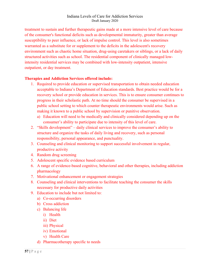treatment to sustain and further therapeutic gains made at a more intensive level of care because of the consumer's functional deficits such as developmental immaturity, greater than average susceptibility to peer influence, or lack of impulse control. This level is also sometimes warranted as a substitute for or supplement to the deficits in the adolescent's recovery environment such as chaotic home situation, drug-using caretakers or siblings, or a lack of daily structured activities such as school. The residential component of clinically managed lowintensity residential services may be combined with low-intensity outpatient, intensive outpatient, or day treatment.

### **Therapies and Addiction Services offered include:**

- 1. Required to provide education or supervised transportation to obtain needed education acceptable to Indiana's Department of Education standards. Best practice would be for a recovery school or provide education in services. This is to ensure consumer continues to progress in their scholastic path. At no time should the consumer be supervised in a public school setting to which counter therapeutic environments would arise. Such as making it known to a public school by supervision or punitive observation.
	- a) Education will need to be medically and clinically considered depending up on the consumer's ability to participate due to intensity of this level of care.
- 2. "Skills development" daily clinical services to improve the consumer's ability to structure and organize the tasks of daily living and recovery, such as personal responsibility, personal appearance, and punctuality.
- 3. Counseling and clinical monitoring to support successful involvement in regular, productive activity
- 4. Random drug screening
- 5. Adolescent specific evidence based curriculum
- 6. A range of evidence-based cognitive, behavioral and other therapies, including addiction pharmacology
- 7. Motivational enhancement or engagement strategies
- 8. Counseling and clinical interventions to facilitate teaching the consumer the skills necessary for productive daily activities
- 9. Education to include but not limited to:
	- a) Co-occurring disorders
	- b) Cross addiction
	- c) Balancing life
		- i) Health
		- ii) Diet
		- iii) Physical
		- iv) Emotional
		- v) Health Care
	- d) Pharmacotherapy specific to needs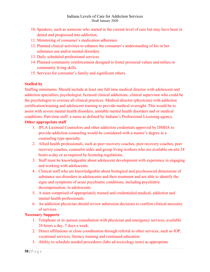- 10. Speakers, such as someone who started in the current level of care but may have been in denial and progressed into addiction,
- 11. Monitoring of consumer's medication adherence
- 12. Planned clinical activities to enhance the consumer's understanding of his or her substance use and/or mental disorders
- 13. Daily scheduled professional services
- 14. Planned community reinforcement designed to foster prosocial values and milieu or community living skills.
- 15. Services for consumer's family and significant others.

### **Staffed by**

Staffing minimums: Should include at least one full time medical director with adolescent and addiction specialties, psychologist, licensed clinical addictions, clinical supervisor who could be the psychologist to oversee all clinical practices. Medical director (physician) with addiction certification/training and adolescent training to provide medical oversight. This would be to assist with severe mental health disorders, unstable mental health disorders and or medical conditions. Part-time staff: a nurse as defined by Indiana's Professional Licensing agency.

### **Other appropriate staff**

- 1. IPLA Licensed Counselors and other addiction credentials approved by DMHA to provide addiction counseling would be considered with a master's degree in a counseling type specialty.
- 2. Allied health professionals, such as peer recovery coaches, peer recovery coaches, peer recovery coaches, counselor aides and group living workers who are available on-site 24 hours-a-day or as required by licensing regulations.
- 3. Staff must be knowledgeable about adolescent development with experience in engaging and working with adolescents.
- 4. Clinical staff who are knowledgeable about biological and psychosocial dimensions of substance use disorders in adolescents and their treatment and are able to identify the signs and symptoms of acute psychiatric conditions, including psychiatric decompensation, in adolescents.
- 5. A team comprised of appropriately trained and credentialed medical, addiction and mental health professionals.
- 6. An addiction physician should review admission decisions to confirm clinical necessity of services.

# **Necessary Supports**

- 1. Telephone or in–person consultation with physician and emergency services, available 24 hours a day, 7 days a week.
- 2. Direct affiliations or close coordination through referral to other services, such as IOP, vocational services, literacy training and continued education.
- 3. Ability to schedule needed procedures (labs ad toxicology tests) as appropriate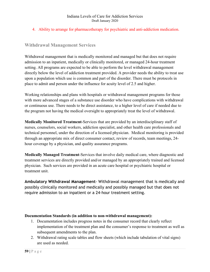4. Ability to arrange for pharmacotherapy for psychiatric and anti-addiction medication.

# **Withdrawal Management Services**

Withdrawal management that is medically monitored and managed but that does not require admission to an inpatient, medically or clinically monitored, or managed 24-hour treatment setting. All programs are expected to be able to perform the level withdrawal management directly below the level of addiction treatment provided. A provider needs the ability to treat use upon a population which use is common and part of the disorder. There must be protocols in place to admit and person under the influence for acuity level of 2.5 and higher.

Working relationships and plans with hospitals or withdrawal management programs for those with more advanced stages of a substance use disorder who have complications with withdrawal or continuous use. There needs to be direct assistance, to a higher level of care if needed due to the program not having the medical oversight to appropriately treat the level of withdrawal.

**Medically Monitored Treatment**-Services that are provided by an interdisciplinary staff of nurses, counselors, social workers, addiction specialist, and other health care professionals and technical personnel, under the direction of a licensed physician. Medical monitoring is provided through an appropriate mix of direct consumer contact, review of records, team meetings, 24 hour coverage by a physician, and quality assurance programs.

**Medically Managed Treatment**-Services that involve daily medical care, where diagnostic and treatment services are directly provided and/or managed by an appropriately trained and licensed physician. Such services are provided in an acute care hospital or psychiatric hospital or treatment unit.

**Ambulatory Withdrawal Management**- Withdrawal management that is medically and possibly clinically monitored and medically and possibly managed but that does not require admission to an inpatient or a 24-hour treatment setting.

### **Documentation Standards (in addition to non-withdrawal management):**

- 1. Documentation includes progress notes in the consumer record that clearly reflect implementation of the treatment plan and the consumer's response to treatment as well as subsequent amendments to the plan.
- 2. Withdrawal rating scale tables and flow sheets (which include tabulation of vital signs) are used as needed.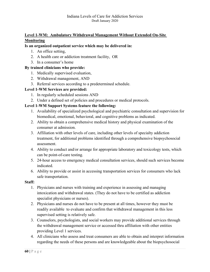# **Level 1-WM: Ambulatory Withdrawal Management Without Extended On-Site Monitoring**

### **Is an organized outpatient service which may be delivered in:**

- 1. An office setting,
- 2. A health care or addiction treatment facility, OR
- 3. In a consumer's home

### **By trained clinicians who provide:**

- 1. Medically supervised evaluation,
- 2. Withdrawal management, AND
- 3. Referral services according to a predetermined schedule.

# **Level 1-WM Services are provided:**

- 1. In regularly scheduled sessions AND
- 2. Under a defined set of policies and procedures or medical protocols.

### **Level 1-WM Support Systems feature the following:**

- 1. Availability of specialized psychological and psychiatric consultation and supervision for biomedical, emotional, behavioral, and cognitive problems as indicated.
- 2. Ability to obtain a comprehensive medical history and physical examination of the consumer at admission.
- 3. Affiliation with other levels of care, including other levels of specialty addiction treatment, for additional problems identified through a comprehensive biopsychosocial assessment.
- 4. Ability to conduct and/or arrange for appropriate laboratory and toxicology tests, which can be point-of-care testing.
- 5. 24-hour access to emergency medical consultation services, should such services become indicated.
- 6. Ability to provide or assist in accessing transportation services for consumers who lack safe transportation.

### **Staff:**

- 1. Physicians and nurses with training and experience in assessing and managing intoxication and withdrawal states. (They do not have to be certified as addiction specialist physicians or nurses).
- 2. Physicians and nurses do not have to be present at all times, however they must be readily available to evaluate and confirm that withdrawal management in this less supervised setting is relatively safe.
- 3. Counselors, psychologists, and social workers may provide additional services through the withdrawal management service or accessed thru affiliation with other entities providing Level 1 services.
- 4. All clinicians who assess and treat consumers are able to obtain and interpret information regarding the needs of these persons and are knowledgeable about the biopsychosocial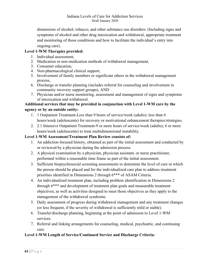dimensions of alcohol, tobacco, and other substance use disorders. (Including signs and symptoms of alcohol and other drug intoxication and withdrawal, appropriate treatment and monitoring of those conditions and how to facilitate the individual's entry into ongoing care).

# **Level 1-WM Therapies provided:**

- 1. Individual assessment,
- 2. Medication or non-medication methods of withdrawal management,
- 3. Consumer education,
- 4. Non-pharmacological clinical support,
- 5. Involvement of family members or significant others in the withdrawal management process,
- 6. Discharge or transfer planning (includes referral for counseling and involvement in community recovery support groups), AND
- 7. Physician and/or nurse monitoring, assessment and management of signs and symptoms of intoxication and withdrawal.

# **Additional services that may be provided in conjunction with Level 1-WM care by the agency or by an outside entity:**

- 1. 1 Outpatient Treatment-Less than 9 hours of service/week (adults); less than 6 hours/week (adolescents) for recovery or motivational enhancement therapies/strategies.
- 2. 2.1 Intensive Outpatient Treatment-9 or more hours of service/week (adults); 6 or more hours/week (adolescents) to treat multidimensional instability.

# **Level 1-WM Assessment/Treatment Plan Review consists of:**

- 1. An addiction-focused history, obtained as part of the initial assessment and conducted by or reviewed by a physician during the admission process.
- 2. A physical examination by a physician, physician assistant, or nurse practitioner, performed within a reasonable time frame as part of the initial assessment.
- 3. Sufficient biopsychosocial screening assessments to determine the level of care in which the person should be placed and for the individualized care plan to address treatment priorities identified in Dimensions 2 through 6\*\*\* of ASAM Criteria.
- 4. An individualized treatment plan, including problem identification in Dimensions 2 through 6\*\*\* and development of treatment plan goals and measurable treatment objectives, as well as activities designed to meet those objectives as they apply to the management of the withdrawal syndrome.
- 5. Daily assessment of progress during withdrawal management and any treatment changes (or less frequent, if the severity of withdrawal is sufficiently mild or stable).
- 6. Transfer/discharge planning, beginning at the point of admission to Level 1-WM services.
- 7. Referral and linking arrangements for counseling, medical, psychiatric, and continuing care.

# **Level 1-WM Length of Service/Continued Service and Discharge Criteria:**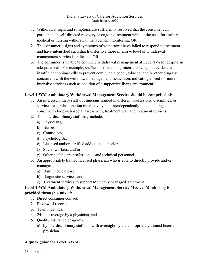- 1. Withdrawal signs and symptoms are sufficiently resolved that the consumer can participate in self-directed recovery or ongoing treatment without the need for further medical or nursing withdrawal management monitoring, OR
- 2. The consumer's signs and symptoms of withdrawal have failed to respond to treatment, and have intensified such that transfer to a more intensive level of withdrawal management service is indicated, OR
- 3. The consumer is unable to complete withdrawal management at Level 1-WM, despite an adequate trial. For example, she/he is experiencing intense craving and evidences insufficient coping skills to prevent continued alcohol, tobacco, and/or other drug use concurrent with the withdrawal management medication, indicating a need for more intensive services (such as addition of a supportive living environment).

### **Level 1-WM Ambulatory Withdrawal Management Service should be comprised of:**

- 1. An interdisciplinary staff of clinicians trained in different professions, disciplines, or service areas, who function interactively and interdependently in conducting a consumer's biopsychosocial assessment, treatment plan and treatment services.
- 2. This interdisciplinary staff may include:
	- a) Physicians,
	- b) Nurses,
	- c) Counselors,
	- d) Psychologists,
	- e) Licensed and/or certified addiction counselors,
	- f) Social workers, and/or
	- g) Other health care professionals and technical personnel.
- 3. An appropriately trained licensed physician who is able to directly provide and/or manage:
	- a) Daily medical care,
	- b) Diagnostic services, and
	- c) Treatment services to support Medically Managed Treatment.

# **Level 1-WM Ambulatory Withdrawal Management Service Medical Monitoring is provided through a mix of:**

- 1. Direct consumer contact,
- 2. Review of records,
- 3. Team meetings,
- 4. 24-hour overage by a physician, and
- 5. Quality assurance programs.
	- a) by interdisciplinary staff and with oversight by the appropriately trained licensed physician

# **A quick guide for Level 1-WM:**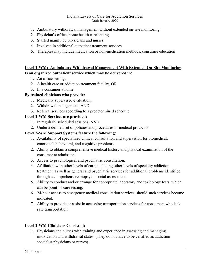- 1. Ambulatory withdrawal management without extended on-site monitoring
- 2. Physician's office, home health care setting
- 3. Staffed mainly by physicians and nurses
- 4. Involved in additional outpatient treatment services
- 5. Therapies may include medication or non-medication methods, consumer education

### **Level 2-WM: Ambulatory Withdrawal Management With Extended On-Site Monitoring Is an organized outpatient service which may be delivered in:**

- 1. An office setting,
- 2. A health care or addiction treatment facility, OR
- 3. In a consumer's home.

### **By trained clinicians who provide:**

- 1. Medically supervised evaluation,
- 2. Withdrawal management, AND
- 3. Referral services according to a predetermined schedule.

### **Level 2-WM Services are provided:**

- 1. In regularly scheduled sessions, AND
- 2. Under a defined set of policies and procedures or medical protocols.

### **Level 2-WM Support Systems feature the following:**

- 1. Availability of specialized clinical consultation and supervision for biomedical, emotional, behavioral, and cognitive problems.
- 2. Ability to obtain a comprehensive medical history and physical examination of the consumer at admission.
- 3. Access to psychological and psychiatric consultation.
- 4. Affiliation with other levels of care, including other levels of specialty addiction treatment, as well as general and psychiatric services for additional problems identified through a comprehensive biopsychosocial assessment.
- 5. Ability to conduct and/or arrange for appropriate laboratory and toxicology tests, which can be point-of-care testing.
- 6. 24-hour access to emergency medical consultation services, should such services become indicated.
- 7. Ability to provide or assist in accessing transportation services for consumers who lack safe transportation.

### **Level 2-WM Clinicians Consist of:**

1. Physicians and nurses with training and experience in assessing and managing intoxication and withdrawal states. (They do not have to be certified as addiction specialist physicians or nurses).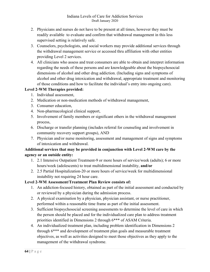- 2. Physicians and nurses do not have to be present at all times, however they must be readily available to evaluate and confirm that withdrawal management in this less supervised setting is relatively safe.
- 3. Counselors, psychologists, and social workers may provide additional services through the withdrawal management service or accessed thru affiliation with other entities providing Level 2 services.
- 4. All clinicians who assess and treat consumers are able to obtain and interpret information regarding the needs of these persons and are knowledgeable about the biopsychosocial dimensions of alcohol and other drug addiction. (Including signs and symptoms of alcohol and other drug intoxication and withdrawal, appropriate treatment and monitoring of those conditions and how to facilitate the individual's entry into ongoing care).

### **Level 2-WM Therapies provided:**

- 1. Individual assessment,
- 2. Medication or non-medication methods of withdrawal management,
- 3. Consumer education,
- 4. Non-pharmacological clinical support,
- 5. Involvement of family members or significant others in the withdrawal management process,
- 6. Discharge or transfer planning (includes referral for counseling and involvement in community recovery support groups), AND
- 7. Physician and/or nurse monitoring, assessment and management of signs and symptoms of intoxication and withdrawal.

# **Additional services that may be provided in conjunction with Level 2-WM care by the agency or an outside entity:**

- 1. 2.1 Intensive Outpatient Treatment-9 or more hours of service/week (adults); 6 or more hours/week (adolescents) to treat multidimensional instability, **and/or**
- 2. 2.5 Partial Hospitalization-20 or more hours of service/week for multidimensional instability not requiring 24 hour care.

# **Level 2-WM Assessment/Treatment Plan Review consists of:**

- 1. An addiction-focused history, obtained as part of the initial assessment and conducted by or reviewed by a physician during the admission process.
- 2. A physical examination by a physician, physician assistant, or nurse practitioner, performed within a reasonable time frame as part of the initial assessment.
- 3. Sufficient biopsychosocial screening assessments to determine the level of care in which the person should be placed and for the individualized care plan to address treatment priorities identified in Dimensions 2 through 6\*\*\* of ASAM Criteria.
- 4. An individualized treatment plan, including problem identification in Dimensions 2 through 6\*\*\* and development of treatment plan goals and measurable treatment objectives, as well as activities designed to meet those objectives as they apply to the management of the withdrawal syndrome.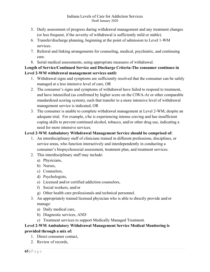- 5. Daily assessment of progress during withdrawal management and any treatment changes (or less frequent, if the severity of withdrawal is sufficiently mild or stable).
- 6. Transfer/discharge planning, beginning at the point of admission to Level 1-WM services.
- 7. Referral and linking arrangements for counseling, medical, psychiatric, and continuing care.
- 8. Serial medical assessments, using appropriate measures of withdrawal.

# **Length of Service/Continued Service and Discharge Criteria-The consumer continues in Level 2-WM withdrawal management services until:**

- 1. Withdrawal signs and symptoms are sufficiently resolved that the consumer can be safely managed at a less intensive level of care, OR
- 2. The consumer's signs and symptoms of withdrawal have failed to respond to treatment, and have intensified (as confirmed by higher score on the CIWA-Ar or other comparable standardized scoring system), such that transfer to a more intensive level of withdrawal management service is indicated, OR
- 3. The consumer is unable to complete withdrawal management at Level 2-WM, despite an adequate trial. For example, s/he is experiencing intense craving and has insufficient coping skills to prevent continued alcohol, tobacco, and/or other drug use, indicating a need for more intensive services.

# **Level 2-WM Ambulatory Withdrawal Management Service should be comprised of:**

- 1. An interdisciplinary staff of clinicians trained in different professions, disciplines, or service areas, who function interactively and interdependently in conducting a consumer's biopsychosocial assessment, treatment plan, and treatment services.
- 2. This interdisciplinary staff may include:
	- a) Physicians,
	- b) Nurses,
	- c) Counselors,
	- d) Psychologists,
	- e) Licensed and/or certified addiction counselors,
	- f) Social workers, and/or
	- g) Other health care professionals and technical personnel.
- 3. An appropriately trained licensed physician who is able to directly provide and/or manage:
	- a) Daily medical care,
	- b) Diagnostic services, AND
	- c) Treatment services to support Medically Managed Treatment.

# **Level 2-WM Ambulatory Withdrawal Management Service Medical Monitoring is**

# **provided through a mix of:**

- 1. Direct consumer contact,
- 2. Review of records,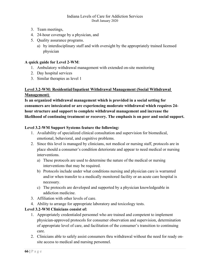- 3. Team meetings,
- 4. 24-hour coverage by a physician, and
- 5. Quality assurance programs.
	- a) by interdisciplinary staff and with oversight by the appropriately trained licensed physician

### **A quick guide for Level 2-WM**:

- 1. Ambulatory withdrawal management with extended on-site monitoring
- 2. Day hospital services
- 3. Similar therapies as level 1

# **Level 3.2-WM: Residential/Inpatient Withdrawal Management (Social Withdrawal Management)**

**Is an organized withdrawal management which is provided in a social setting for consumers are intoxicated or are experiencing moderate withdrawal which requires 24 hour structure and support to complete withdrawal management and increase the likelihood of continuing treatment or recovery. The emphasis is on peer and social support.** 

### **Level 3.2-WM Support Systems feature the following:**

- 1. Availability of specialized clinical consultation and supervision for biomedical, emotional, behavioral, and cognitive problems.
- 2. Since this level is managed by clinicians, not medical or nursing staff, protocols are in place should a consumer's condition deteriorate and appear to need medical or nursing interventions.
	- a) These protocols are used to determine the nature of the medical or nursing interventions that may be required.
	- b) Protocols include under what conditions nursing and physician care is warranted and/or when transfer to a medically monitored facility or an acute care hospital is necessary.
	- c) The protocols are developed and supported by a physician knowledgeable in addiction medicine.
- 3. Affiliation with other levels of care.
- 4. Ability to arrange for appropriate laboratory and toxicology tests.

### **Level 3.2-WM Clinicians consist of:**

- 1. Appropriately credentialed personnel who are trained and competent to implement physician-approved protocols for consumer observation and supervision, determination of appropriate level of care, and facilitation of the consumer's transition to continuing care.
- 2. Clinicians able to safely assist consumers thru withdrawal without the need for ready onsite access to medical and nursing personnel.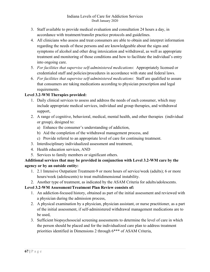- 3. Staff available to provide medical evaluation and consultation 24 hours a day, in accordance with treatment/transfer practice protocols and guidelines.
- 4. All clinicians who assess and treat consumers are able to obtain and interpret information regarding the needs of these persons and are knowledgeable about the signs and symptoms of alcohol and other drug intoxication and withdrawal, as well as appropriate treatment and monitoring of those conditions and how to facilitate the individual's entry into ongoing care.
- 5. *For facilities that supervise self-administered medications*: Appropriately licensed or credentialed staff and policies/procedures in accordance with state and federal laws.
- 6. *For facilities that supervise self-administered medications*: Staff are qualified to assure that consumers are taking medications according to physician prescription and legal requirements.

# **Level 3.2-WM Therapies provided:**

- 1. Daily clinical services to assess and address the needs of each consumer, which may include appropriate medical services, individual and group therapies, and withdrawal support,
- 2. A range of cognitive, behavioral, medical, mental health, and other therapies (individual or group), designed to:
	- a) Enhance the consumer's understanding of addiction,
	- b) Aid the completion of the withdrawal management process, and
	- c) Provide referral to an appropriate level of care for continuing treatment.
- 3. Interdisciplinary individualized assessment and treatment,
- 4. Health education services, AND
- 5. Services to family members or significant others.

# **Additional services that may be provided in conjunction with Level 3.2-WM care by the agency or by an outside entity:**

- 1. 2.1 Intensive Outpatient Treatment-9 or more hours of service/week (adults); 6 or more hours/week (adolescents) to treat multidimensional instability.
- 2. Another type of treatment, as indicated by the ASAM Criteria for adults/adolescents.

# **Level 3.2-WM Assessment/Treatment Plan Review consists of:**

- 1. An addiction-focused history, obtained as part of the initial assessment and reviewed with a physician during the admission process,
- 2. A physical examination by a physician, physician assistant, or nurse practitioner, as a part of the initial assessment, if self-administered withdrawal management medications are to be used,
- 3. Sufficient biopsychosocial screening assessments to determine the level of care in which the person should be placed and for the individualized care plan to address treatment priorities identified in Dimensions 2 through 6\*\*\* of ASAM Criteria,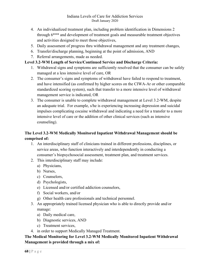- 4. An individualized treatment plan, including problem identification in Dimensions 2 through 6\*\*\* and development of treatment goals and measurable treatment objectives and activities designed to meet those objectives,
- 5. Daily assessment of progress thru withdrawal management and any treatment changes,
- 6. Transfer/discharge planning, beginning at the point of admission, AND
- 7. Referral arrangements, made as needed.

### **Level 3.2-WM Length of Service/Continued Service and Discharge Criteria:**

- 1. Withdrawal signs and symptoms are sufficiently resolved that the consumer can be safely managed at a less intensive level of care, OR
- 2. The consumer's signs and symptoms of withdrawal have failed to respond to treatment, and have intensified (as confirmed by higher scores on the CIWA-Ar or other comparable standardized scoring system), such that transfer to a more intensive level of withdrawal management service is indicated, OR
- 3. The consumer is unable to complete withdrawal management at Level 3.2-WM, despite an adequate trial. For example, s/he is experiencing increasing depression and suicidal impulses complicating cocaine withdrawal and indicating a need for a transfer to a more intensive level of care or the addition of other clinical services (such as intensive counseling).

# **The Level 3.2-WM Medically Monitored Inpatient Withdrawal Management should be comprised of:**

- 1. An interdisciplinary staff of clinicians trained in different professions, disciplines, or service areas, who function interactively and interdependently in conducting a consumer's biopsychosocial assessment, treatment plan, and treatment services.
- 2. This interdisciplinary staff may include:
	- a) Physicians,
	- b) Nurses,
	- c) Counselors,
	- d) Psychologists,
	- e) Licensed and/or certified addiction counselors,
	- f) Social workers, and/or
	- g) Other health care professionals and technical personnel.
- 3. An appropriately trained licensed physician who is able to directly provide and/or manage:
	- a) Daily medical care,
	- b) Diagnostic services, AND
	- c) Treatment services,
- 4. in order to support Medically Managed Treatment.

# **The Medical Monitoring for Level 3.2-WM Medically Monitored Inpatient Withdrawal Management is provided through a mix of:**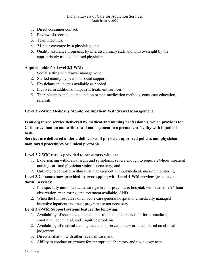- 1. Direct consumer contact,
- 2. Review of records,
- 3. Team meetings,
- 4. 24-hour coverage by a physician, and
- 5. Quality assurance programs, by interdisciplinary staff and with oversight by the appropriately trained licensed physician.

### **A quick guide for Level 3.2-WM:**

- 1. Social setting withdrawal management
- 2. Staffed mainly by peer and social supports
- 3. Physicians and nurses available as needed
- 4. Involved in additional outpatient treatment services
- 5. Therapies may include medication or non-medication methods, consumer education, referrals

### **Level 3.7-WM: Medically Monitored Inpatient Withdrawal Management**

**Is an organized service delivered by medical and nursing professionals, which provides for 24-hour evaluation and withdrawal management in a permanent facility with inpatient beds.**

**Services are delivered under a defined set of physician-approved policies and physicianmonitored procedures or clinical protocols.**

### **Level 3.7-WM care is provided to consumers who are:**

- 1. Experiencing withdrawal signs and symptoms, severe enough to require 24-hour inpatient nursing care and physician visits as necessary, and
- 2. Unlikely to complete withdrawal management without medical, nursing monitoring.

# **Level 3.7 is sometimes provided by overlapping with Level 4-WM services (as a "stepdown" service):**

- 1. In a specialty unit of an acute care general or psychiatric hospital, with available 24-hour observation, monitoring, and treatment available, AND
- 2. When the full resources of an acute care general hospital or a medically managed intensive inpatient treatment program are not necessary.

### **Level 3.7-WM Support systems feature the following:**

- 1. Availability of specialized clinical consultation and supervision for biomedical, emotional, behavioral, and cognitive problems.
- 2. Availability of medical nursing care and observation as warranted, based on clinical judgement,
- 3. Direct affiliation with other levels of care, and
- 4. Ability to conduct or arrange for appropriate laboratory and toxicology tests.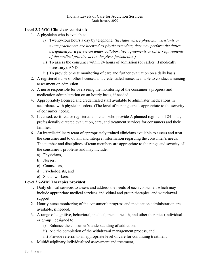### **Level 3.7-WM Clinicians consist of:**

- 1. A physician who is available:
	- i) Twenty-four hours a day by telephone, *(In states where physician assistants or nurse practioners are licensed as physic extenders, they may perform the duties designated for a physician under collaborative agreements or other requirements of the medical practice act in the given jurisdiction.)*
	- ii) To assess the consumer within 24 hours of admission (or earlier, if medically necessary), AND
	- iii) To provide on-site monitoring of care and further evaluation on a daily basis.
- 2. A registered nurse or other licensed and credentialed nurse, available to conduct a nursing assessment on admission.
- 3. A nurse responsible for overseeing the monitoring of the consumer's progress and medication administration on an hourly basis, if needed.
- 4. Appropriately licensed and credentialed staff available to administer medications in accordance with physician orders. (The level of nursing care is appropriate to the severity of consumer needs).
- 5. Licensed, certified, or registered clinicians who provide A planned regimen of 24-hour, professionally directed evaluation, care, and treatment services for consumers and their families.
- 6. An interdisciplinary team of appropriately trained clinicians available to assess and treat the consumer and to obtain and interpret information regarding the consumer's needs. The number and disciplines of team members are appropriate to the range and severity of the consumer's problems and may include:
	- a) Physicians,
	- b) Nurses,
	- c) Counselors,
	- d) Psychologists, and
	- e) Social workers.

# **Level 3.7-WM Therapies provided:**

- 1. Daily clinical services to assess and address the needs of each consumer, which may include appropriate medical services, individual and group therapies, and withdrawal support,
- 2. Hourly nurse monitoring of the consumer's progress and medication administration are available, if needed,
- 3. A range of cognitive, behavioral, medical, mental health, and other therapies (individual or group), designed to:
	- i) Enhance the consumer's understanding of addiction,
	- ii) Aid the completion of the withdrawal management process, and
	- iii) Provide referral to an appropriate level of care for continuing treatment.
- 4. Multidisciplinary individualized assessment and treatment,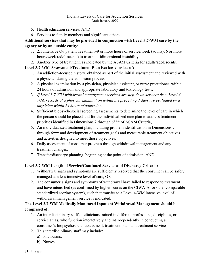- 5. Health education services, AND
- 6. Services to family members and significant others.

# **Additional services that may be provided in conjunction with Level 3.7-WM care by the agency or by an outside entity:**

- 1. 2.1 Intensive Outpatient Treatment=9 or more hours of service/week (adults); 6 or more hours/week (adolescents) to treat multidimensional instability.
- 2. Another type of treatment, as indicated by the ASAM Criteria for adults/adolescents.

# **Level 3.7-WM Assessment/Treatment Plan Review consists of:**

- 1. An addiction-focused history, obtained as part of the initial assessment and reviewed with a physician during the admission process,
- 2. A physical examination by a physician, physician assistant, or nurse practitioner, within 24 hours of admission and appropriate laboratory and toxicology tests.
- 3. *If Level 3.7-WM withdrawal management services are step-down services from Level 4- WM, records of a physical examination within the preceding 7 days are evaluated by a physician within 24 hours of admission.*
- 4. Sufficient biopsychosocial screening assessments to determine the level of care in which the person should be placed and for the individualized care plan to address treatment priorities identified in Dimensions 2 through 6\*\*\* of ASAM Criteria,
- 5. An individualized treatment plan, including problem identification in Dimensions 2 through 6\*\*\* and development of treatment goals and measurable treatment objectives and activities designed to meet those objectives,
- 6. Daily assessment of consumer progress through withdrawal management and any treatment changes,
- 7. Transfer/discharge planning, beginning at the point of admission, AND

# **Level 3.7-WM Length of Service/Continued Service and Discharge Criteria:**

- 1. Withdrawal signs and symptoms are sufficiently resolved that the consumer can be safely managed at a less intensive level of care, OR
- 2. The consumer's signs and symptoms of withdrawal have failed to respond to treatment, and have intensified (as confirmed by higher scores on the CIWA-Ar or other comparable standardized scoring system), such that transfer to a Level 4-WM intensive level of withdrawal management service is indicated.

# **The Level 3.7-WM Medically Monitored Inpatient Withdrawal Management should be comprised of:**

- 1. An interdisciplinary staff of clinicians trained in different professions, disciplines, or service areas, who function interactively and interdependently in conducting a consumer's biopsychosocial assessment, treatment plan, and treatment services.
- 2. This interdisciplinary staff may include:
	- a) Physicians,
	- b) Nurses,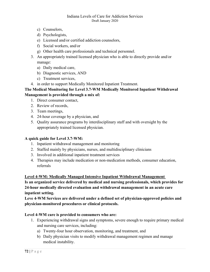- c) Counselors,
- d) Psychologists,
- e) Licensed and/or certified addiction counselors,
- f) Social workers, and/or
- g) Other health care professionals and technical personnel.
- 3. An appropriately trained licensed physician who is able to directly provide and/or manage:
	- a) Daily medical care,
	- b) Diagnostic services, AND
	- c) Treatment services,
- 4. in order to support Medically Monitored Inpatient Treatment.

### **The Medical Monitoring for Level 3.7-WM Medically Monitored Inpatient Withdrawal Management is provided through a mix of:**

- 1. Direct consumer contact,
	- 2. Review of records,
	- 3. Team meetings,
	- 4. 24-hour coverage by a physician, and
	- 5. Quality assurance programs by interdisciplinary staff and with oversight by the appropriately trained licensed physician.

### **A quick guide for Level 3.7-WM:**

- 1. Inpatient withdrawal management and monitoring
- 2. Staffed mainly by physicians, nurses, and multidisciplinary clinicians
- 3. Involved in additional inpatient treatment services
- 4. Therapies may include medication or non-medication methods, consumer education, referrals

### **Level 4-WM: Medically Managed Intensive Inpatient Withdrawal Management**

**Is an organized service delivered by medical and nursing professionals, which provides for 24-hour medically directed evaluation and withdrawal management in an acute care inpatient setting.**

**Leve 4-WM Services are delivered under a defined set of physician-approved policies and physician-monitored procedures or clinical protocols.**

### **Level 4-WM care is provided to consumers who are:**

- 1. Experiencing withdrawal signs and symptoms, severe enough to require primary medical and nursing care services, including:
	- a) Twenty-four hour observation, monitoring, and treatment, and
	- b) Daily physician visits to modify withdrawal management regimen and manage medical instability.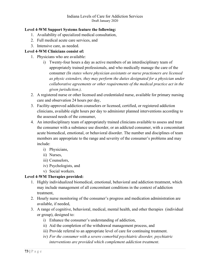### **Level 4-WM Support Systems feature the following:**

- 1. Availability of specialized medical consultation,
- 2. Full medical acute care services, and
- 3. Intensive care, as needed.

### **Level 4-WM Clinicians consist of:**

- 1. Physicians who are available:
	- i) Twenty-four hours a day as active members of an interdisciplinary team of appropriately trained professionals, and who medically manage the care of the consumer *(In states where physician assistants or nurse practioners are licensed as physic extenders, they may perform the duties designated for a physician under collaborative agreements or other requirements of the medical practice act in the given jurisdiction.),*
- 2. A registered nurse or other licensed and credentialed nurse, available for primary nursing care and observation 24 hours per day,
- 3. Facility-approved addiction counselors or licensed, certified, or registered addiction clinicians, available eight hours per day to administer planned interventions according to the assessed needs of the consumer,
- 4. An interdisciplinary team of appropriately trained clinicians available to assess and treat the consumer with a substance use disorder, or an addicted consumer, with a concomitant acute biomedical, emotional, or behavioral disorder. The number and disciplines of team members are appropriate to the range and severity of the consumer's problems and may include:
	- i) Physicians,
	- ii) Nurses,
	- iii) Counselors,
	- iv) Psychologists, and
	- v) Social workers.

## **Level 4-WM Therapies provided:**

- 1. Highly individualized biomedical, emotional, behavioral and addiction treatment, which may include management of all concomitant conditions in the context of addiction treatment,
- 2. Hourly nurse monitoring of the consumer's progress and medication administration are available, if needed,
- 3. A range of cognitive, behavioral, medical, mental health, and other therapies (individual or group), designed to:
	- i) Enhance the consumer's understanding of addiction,
	- ii) Aid the completion of the withdrawal management process, and
	- iii) Provide referral to an appropriate level of care for continuing treatment.
	- iv) *For the consumer with a severe comorbid psychiatric disorder, psychiatric interventions are provided which complement addiction treatment*.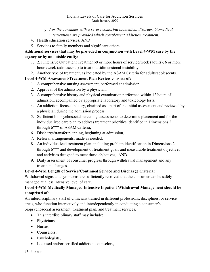#### Indiana Levels of Care for Addiction Services Draft January 2020

- *v) For the consumer with a severe comorbid biomedical disorder, biomedical interventions are provided which complement addiction treatment.*
- 4. Health education services, AND
- 5. Services to family members and significant others.

# **Additional services that may be provided in conjunction with Level 4-WM care by the agency or by an outside entity:**

- 1. 2.1 Intensive Outpatient Treatment-9 or more hours of service/week (adults); 6 or more hours/week (adolescents) to treat multidimensional instability.
- 2. Another type of treatment, as indicated by the ASAM Criteria for adults/adolescents.

## **Level 4-WM Assessment/Treatment Plan Review consists of:**

- 1. A comprehensive nursing assessment, performed at admission,
- 2. Approval of the admission by a physician,
- 3. A comprehensive history and physical examination performed within 12 hours of admission, accompanied by appropriate laboratory and toxicology tests.
- 4. An addiction-focused history, obtained as a part of the initial assessment and reviewed by a physician during the admission process,
- 5. Sufficient biopsychosocial screening assessments to determine placement and for the individualized care plan to address treatment priorities identified in Dimensions 2 through 6\*\*\* of ASAM Criteria,
- 6. Discharge/transfer planning, beginning at admission,
- 7. Referral arrangements, made as needed,
- 8. An individualized treatment plan, including problem identification in Dimensions 2 through 6\*\*\* and development of treatment goals and measurable treatment objectives and activities designed to meet those objectives, AND
- 9. Daily assessment of consumer progress through withdrawal management and any treatment changes.

## **Level 4-WM Length of Service/Continued Service and Discharge Criteria:**

Withdrawal signs and symptoms are sufficiently resolved that the consumer can be safely managed at a less intensive level of care.

## **Level 4-WM Medically Managed Intensive Inpatient Withdrawal Management should be comprised of:**

An interdisciplinary staff of clinicians trained in different professions, disciplines, or service areas, who function interactively and interdependently in conducting a consumer's biopsychosocial assessment, treatment plan, and treatment services.

- This interdisciplinary staff may include:
- Physicians,
- Nurses,
- Counselors,
- Psychologists,
- Licensed and/or certified addiction counselors,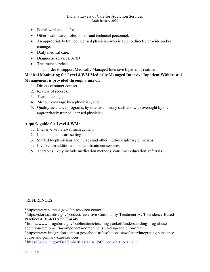#### Indiana Levels of Care for Addiction Services Draft January 2020

- Social workers, and/or
- Other health care professionals and technical personnel.
- An appropriately trained licensed physician who is able to directly provide and/or manage:
- Daily medical care,
- Diagnostic services, AND
- Treatment services,

in order to support Medically Managed Intensive Inpatient Treatment.

### **Medical Monitoring for Level 4-WM Medically Managed Intensive Inpatient Withdrawal Management is provided through a mix of:**

- 1. Direct consumer contact,
- 2. Review of records,
- 3. Team meetings,
- 4. 24-hour coverage by a physician, and
- 5. Quality assurance programs, by interdisciplinary staff and with oversight by the appropriately trained licensed physician

### **A quick guide for Level 4-WM:**

- 1. Intensive withdrawal management
- 2. Inpatient acute care setting
- 3. Staffed by physicians and nurses and other multidisciplinary clinicians
- 4. Involved in additional inpatient treatment services
- 5. Therapies likely include medication methods, consumer education, referrals

#### **REFERENCES**

1 https://www.samhsa.gov/ebp-resource-center

2 https://store.samhsa.gov/product/Assertive-Community-Treatment-ACT-Evidence-Based-Practices-EBP-KIT/sma08-4345

<sup>3</sup> https://www.drugabuse.gov/publications/teaching-packets/understanding-drug-abuseaddiction/section-iii/4-components-comprehensive-drug-addiction-treatm

4 https://www.integration.samhsa.gov/about-us/esolutions-newsletter/integrating-substanceabuse-and-primary-care-services

<sup>5</sup> [https://www.in.gov/fssa/dmha/files/TI\\_ROSC\\_Toolkit\\_FINAL.PDF](https://www.in.gov/fssa/dmha/files/TI_ROSC_Toolkit_FINAL.PDF)